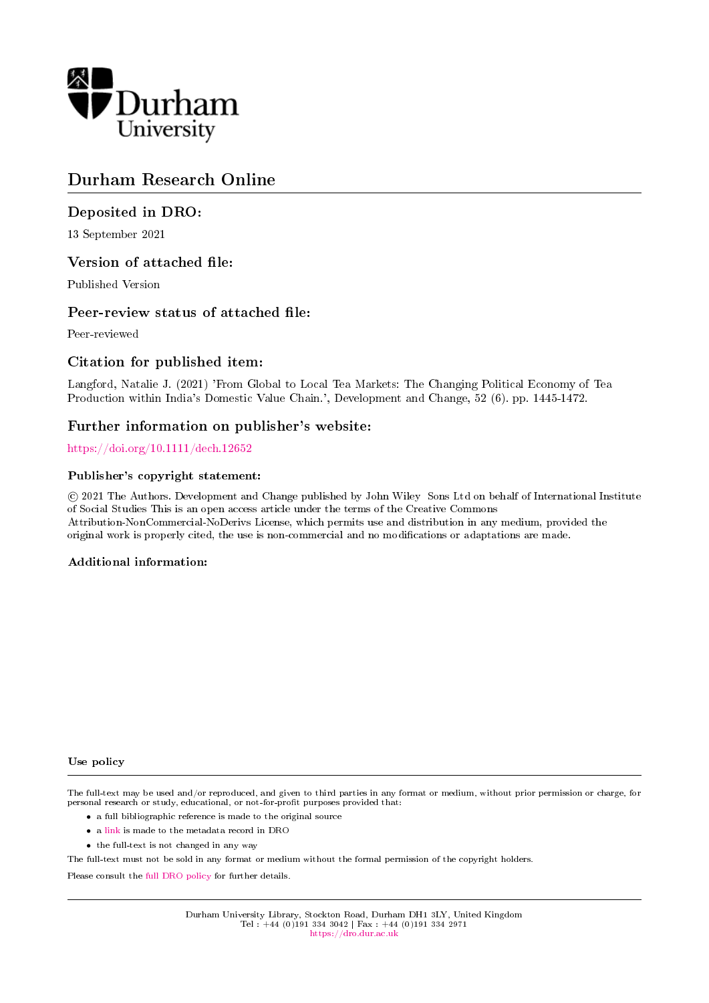

# Durham Research Online

## Deposited in DRO:

13 September 2021

## Version of attached file:

Published Version

## Peer-review status of attached file:

Peer-reviewed

## Citation for published item:

Langford, Natalie J. (2021) 'From Global to Local Tea Markets: The Changing Political Economy of Tea Production within India's Domestic Value Chain.', Development and Change, 52 (6). pp. 1445-1472.

# Further information on publisher's website:

### <https://doi.org/10.1111/dech.12652>

### Publisher's copyright statement:

 c 2021 The Authors. Development and Change published by John Wiley Sons Ltd on behalf of International Institute of Social Studies This is an open access article under the terms of the Creative Commons Attribution-NonCommercial-NoDerivs License, which permits use and distribution in any medium, provided the original work is properly cited, the use is non-commercial and no modifications or adaptations are made.

### Additional information:

#### Use policy

The full-text may be used and/or reproduced, and given to third parties in any format or medium, without prior permission or charge, for personal research or study, educational, or not-for-profit purposes provided that:

- a full bibliographic reference is made to the original source
- a [link](http://dro.dur.ac.uk/33809/) is made to the metadata record in DRO
- the full-text is not changed in any way

The full-text must not be sold in any format or medium without the formal permission of the copyright holders.

Please consult the [full DRO policy](https://dro.dur.ac.uk/policies/usepolicy.pdf) for further details.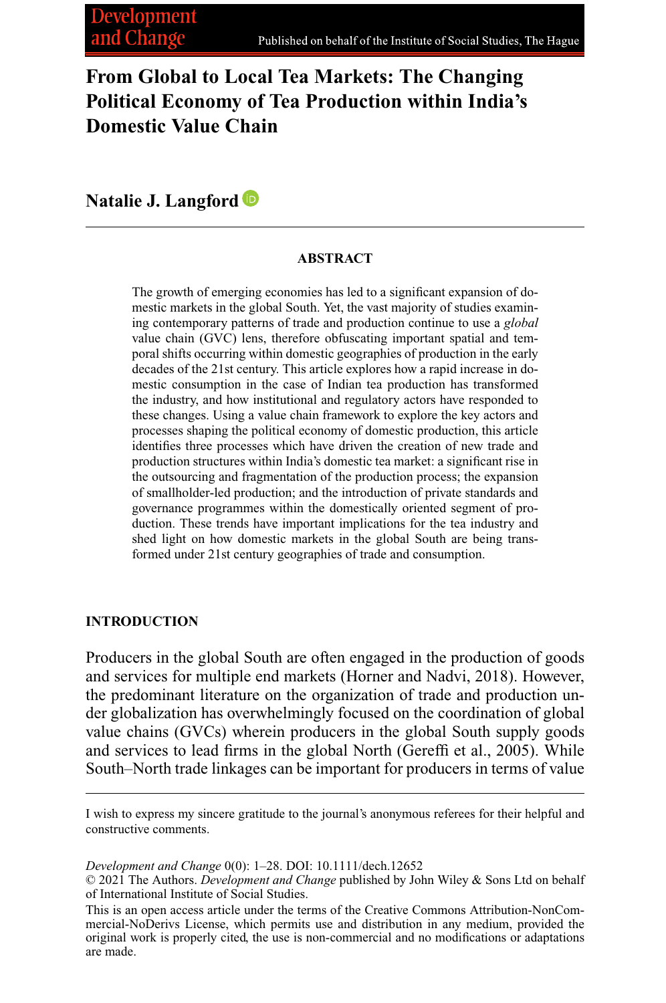# **From Global to Local Tea Markets: The Changing Political Economy of Tea Production within India's Domestic Value Chain**

**Natalie J. Langford**

#### **ABSTRACT**

The growth of emerging economies has led to a significant expansion of domestic markets in the global South. Yet, the vast majority of studies examining contemporary patterns of trade and production continue to use a *global* value chain (GVC) lens, therefore obfuscating important spatial and temporal shifts occurring within domestic geographies of production in the early decades of the 21st century. This article explores how a rapid increase in domestic consumption in the case of Indian tea production has transformed the industry, and how institutional and regulatory actors have responded to these changes. Using a value chain framework to explore the key actors and processes shaping the political economy of domestic production, this article identifies three processes which have driven the creation of new trade and production structures within India's domestic tea market: a significant rise in the outsourcing and fragmentation of the production process; the expansion of smallholder-led production; and the introduction of private standards and governance programmes within the domestically oriented segment of production. These trends have important implications for the tea industry and shed light on how domestic markets in the global South are being transformed under 21st century geographies of trade and consumption.

#### **INTRODUCTION**

Producers in the global South are often engaged in the production of goods and services for multiple end markets (Horner and Nadvi, 2018). However, the predominant literature on the organization of trade and production under globalization has overwhelmingly focused on the coordination of global value chains (GVCs) wherein producers in the global South supply goods and services to lead firms in the global North (Gereffi et al., 2005). While South–North trade linkages can be important for producers in terms of value

I wish to express my sincere gratitude to the journal's anonymous referees for their helpful and constructive comments.

*Development and Change* 0(0): 1–28. DOI: 10.1111/dech.12652

<sup>© 2021</sup> The Authors. *Development and Change* published by John Wiley & Sons Ltd on behalf of International Institute of Social Studies.

This is an open access article under the terms of the [Creative Commons Attribution-NonCom](http://creativecommons.org/licenses/by-nc-nd/4.0/)[mercial-NoDerivs](http://creativecommons.org/licenses/by-nc-nd/4.0/) License, which permits use and distribution in any medium, provided the original work is properly cited, the use is non-commercial and no modifications or adaptations are made.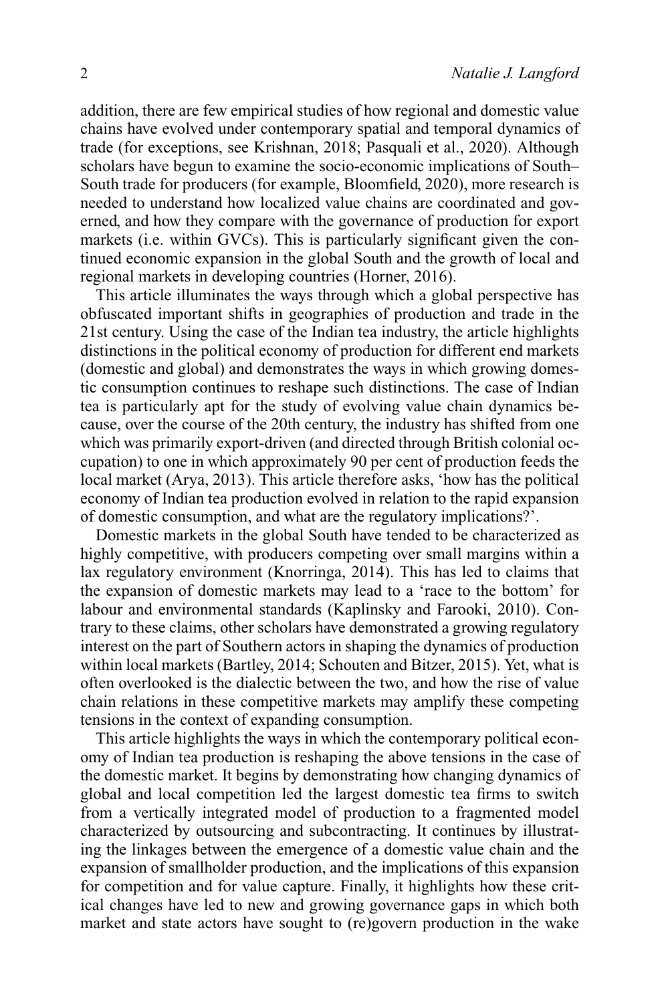addition, there are few empirical studies of how regional and domestic value chains have evolved under contemporary spatial and temporal dynamics of trade (for exceptions, see Krishnan, 2018; Pasquali et al., 2020). Although scholars have begun to examine the socio-economic implications of South– South trade for producers (for example, Bloomfield, 2020), more research is needed to understand how localized value chains are coordinated and governed, and how they compare with the governance of production for export markets (i.e. within GVCs). This is particularly significant given the continued economic expansion in the global South and the growth of local and regional markets in developing countries (Horner, 2016).

This article illuminates the ways through which a global perspective has obfuscated important shifts in geographies of production and trade in the 21st century. Using the case of the Indian tea industry, the article highlights distinctions in the political economy of production for different end markets (domestic and global) and demonstrates the ways in which growing domestic consumption continues to reshape such distinctions. The case of Indian tea is particularly apt for the study of evolving value chain dynamics because, over the course of the 20th century, the industry has shifted from one which was primarily export-driven (and directed through British colonial occupation) to one in which approximately 90 per cent of production feeds the local market (Arya, 2013). This article therefore asks, 'how has the political economy of Indian tea production evolved in relation to the rapid expansion of domestic consumption, and what are the regulatory implications?'.

Domestic markets in the global South have tended to be characterized as highly competitive, with producers competing over small margins within a lax regulatory environment (Knorringa, 2014). This has led to claims that the expansion of domestic markets may lead to a 'race to the bottom' for labour and environmental standards (Kaplinsky and Farooki, 2010). Contrary to these claims, other scholars have demonstrated a growing regulatory interest on the part of Southern actors in shaping the dynamics of production within local markets (Bartley, 2014; Schouten and Bitzer, 2015). Yet, what is often overlooked is the dialectic between the two, and how the rise of value chain relations in these competitive markets may amplify these competing tensions in the context of expanding consumption.

This article highlights the ways in which the contemporary political economy of Indian tea production is reshaping the above tensions in the case of the domestic market. It begins by demonstrating how changing dynamics of global and local competition led the largest domestic tea firms to switch from a vertically integrated model of production to a fragmented model characterized by outsourcing and subcontracting. It continues by illustrating the linkages between the emergence of a domestic value chain and the expansion of smallholder production, and the implications of this expansion for competition and for value capture. Finally, it highlights how these critical changes have led to new and growing governance gaps in which both market and state actors have sought to (re)govern production in the wake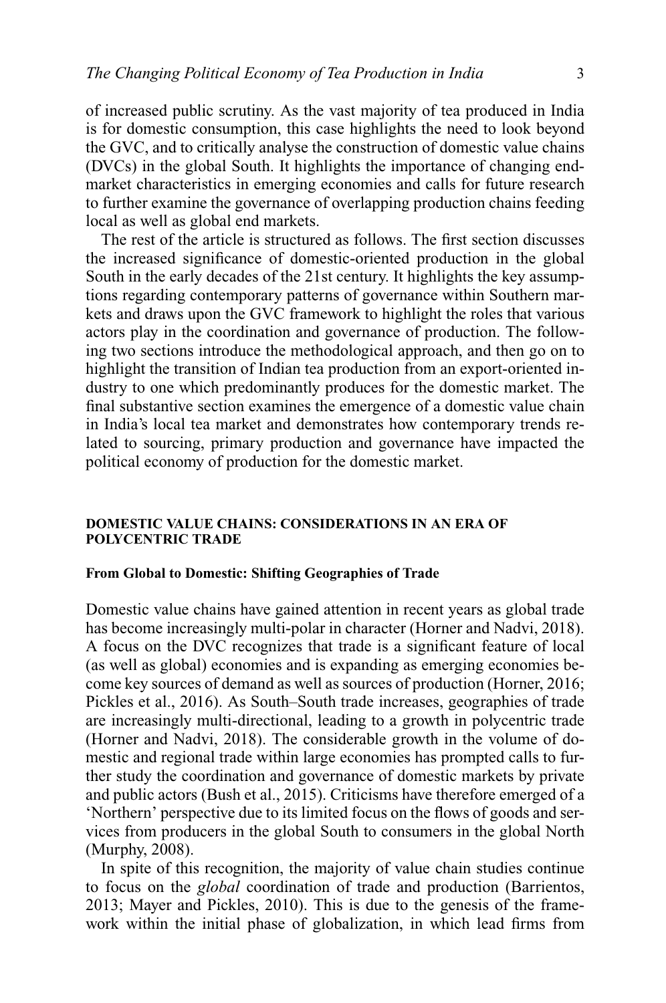of increased public scrutiny. As the vast majority of tea produced in India is for domestic consumption, this case highlights the need to look beyond the GVC, and to critically analyse the construction of domestic value chains (DVCs) in the global South. It highlights the importance of changing endmarket characteristics in emerging economies and calls for future research to further examine the governance of overlapping production chains feeding local as well as global end markets.

The rest of the article is structured as follows. The first section discusses the increased significance of domestic-oriented production in the global South in the early decades of the 21st century. It highlights the key assumptions regarding contemporary patterns of governance within Southern markets and draws upon the GVC framework to highlight the roles that various actors play in the coordination and governance of production. The following two sections introduce the methodological approach, and then go on to highlight the transition of Indian tea production from an export-oriented industry to one which predominantly produces for the domestic market. The final substantive section examines the emergence of a domestic value chain in India's local tea market and demonstrates how contemporary trends related to sourcing, primary production and governance have impacted the political economy of production for the domestic market.

#### **DOMESTIC VALUE CHAINS: CONSIDERATIONS IN AN ERA OF POLYCENTRIC TRADE**

#### **From Global to Domestic: Shifting Geographies of Trade**

Domestic value chains have gained attention in recent years as global trade has become increasingly multi-polar in character (Horner and Nadvi, 2018). A focus on the DVC recognizes that trade is a significant feature of local (as well as global) economies and is expanding as emerging economies become key sources of demand as well as sources of production (Horner, 2016; Pickles et al., 2016). As South–South trade increases, geographies of trade are increasingly multi-directional, leading to a growth in polycentric trade (Horner and Nadvi, 2018). The considerable growth in the volume of domestic and regional trade within large economies has prompted calls to further study the coordination and governance of domestic markets by private and public actors (Bush et al., 2015). Criticisms have therefore emerged of a 'Northern' perspective due to its limited focus on the flows of goods and services from producers in the global South to consumers in the global North (Murphy, 2008).

In spite of this recognition, the majority of value chain studies continue to focus on the *global* coordination of trade and production (Barrientos, 2013; Mayer and Pickles, 2010). This is due to the genesis of the framework within the initial phase of globalization, in which lead firms from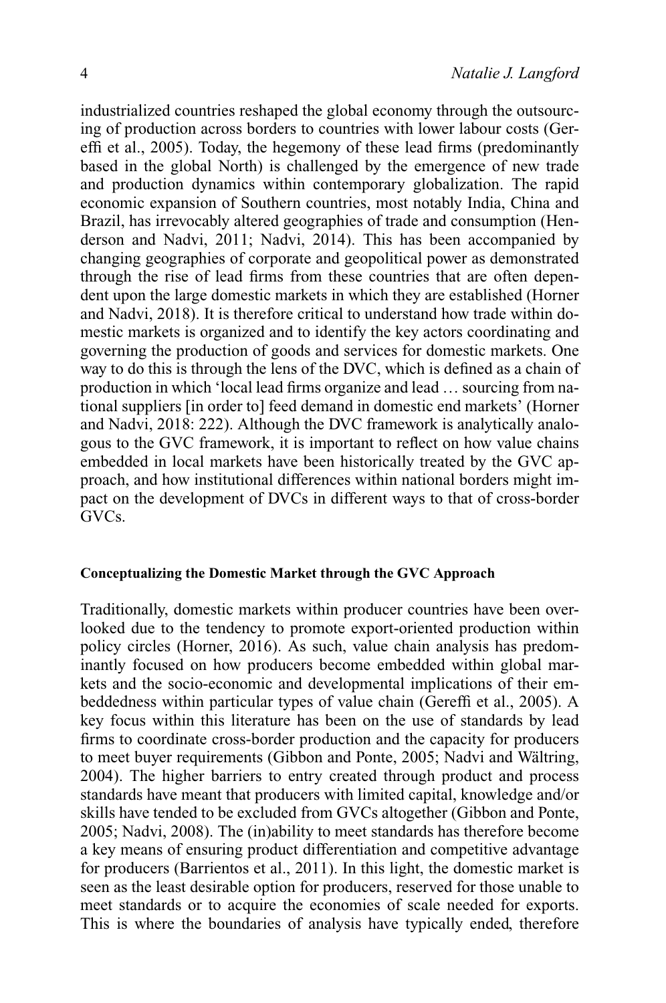industrialized countries reshaped the global economy through the outsourcing of production across borders to countries with lower labour costs (Gereffi et al., 2005). Today, the hegemony of these lead firms (predominantly based in the global North) is challenged by the emergence of new trade and production dynamics within contemporary globalization. The rapid economic expansion of Southern countries, most notably India, China and Brazil, has irrevocably altered geographies of trade and consumption (Henderson and Nadvi, 2011; Nadvi, 2014). This has been accompanied by changing geographies of corporate and geopolitical power as demonstrated through the rise of lead firms from these countries that are often dependent upon the large domestic markets in which they are established (Horner and Nadvi, 2018). It is therefore critical to understand how trade within domestic markets is organized and to identify the key actors coordinating and governing the production of goods and services for domestic markets. One way to do this is through the lens of the DVC, which is defined as a chain of production in which 'local lead firms organize and lead … sourcing from national suppliers [in order to] feed demand in domestic end markets' (Horner and Nadvi, 2018: 222). Although the DVC framework is analytically analogous to the GVC framework, it is important to reflect on how value chains embedded in local markets have been historically treated by the GVC approach, and how institutional differences within national borders might impact on the development of DVCs in different ways to that of cross-border GVCs.

#### **Conceptualizing the Domestic Market through the GVC Approach**

Traditionally, domestic markets within producer countries have been overlooked due to the tendency to promote export-oriented production within policy circles (Horner, 2016). As such, value chain analysis has predominantly focused on how producers become embedded within global markets and the socio-economic and developmental implications of their embeddedness within particular types of value chain (Gereffi et al., 2005). A key focus within this literature has been on the use of standards by lead firms to coordinate cross-border production and the capacity for producers to meet buyer requirements (Gibbon and Ponte, 2005; Nadvi and Wältring, 2004). The higher barriers to entry created through product and process standards have meant that producers with limited capital, knowledge and/or skills have tended to be excluded from GVCs altogether (Gibbon and Ponte, 2005; Nadvi, 2008). The (in)ability to meet standards has therefore become a key means of ensuring product differentiation and competitive advantage for producers (Barrientos et al., 2011). In this light, the domestic market is seen as the least desirable option for producers, reserved for those unable to meet standards or to acquire the economies of scale needed for exports. This is where the boundaries of analysis have typically ended, therefore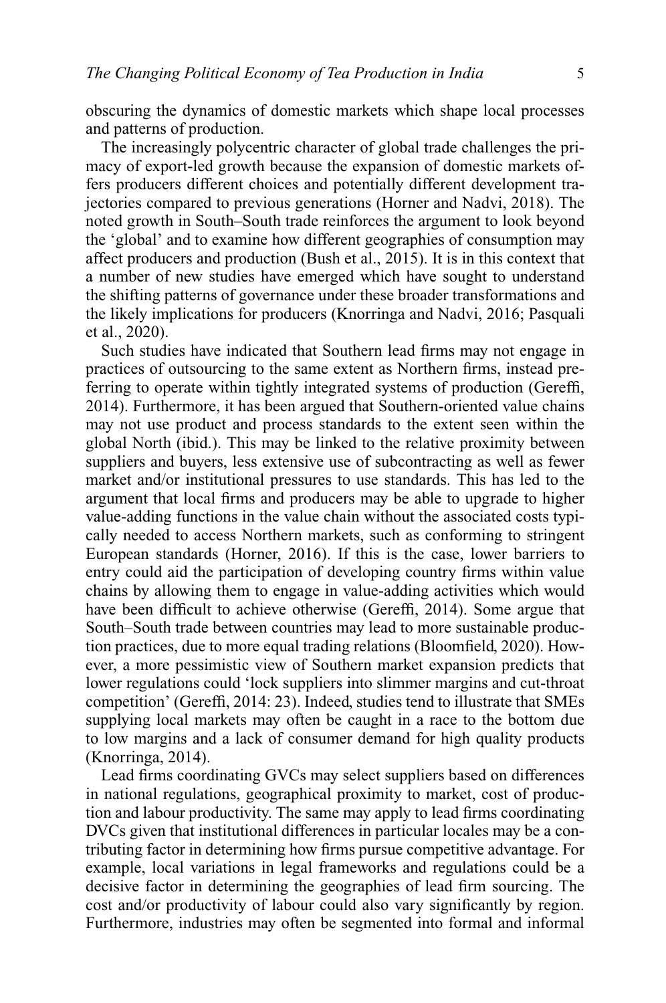obscuring the dynamics of domestic markets which shape local processes and patterns of production.

The increasingly polycentric character of global trade challenges the primacy of export-led growth because the expansion of domestic markets offers producers different choices and potentially different development trajectories compared to previous generations (Horner and Nadvi, 2018). The noted growth in South–South trade reinforces the argument to look beyond the 'global' and to examine how different geographies of consumption may affect producers and production (Bush et al., 2015). It is in this context that a number of new studies have emerged which have sought to understand the shifting patterns of governance under these broader transformations and the likely implications for producers (Knorringa and Nadvi, 2016; Pasquali et al., 2020).

Such studies have indicated that Southern lead firms may not engage in practices of outsourcing to the same extent as Northern firms, instead preferring to operate within tightly integrated systems of production (Gereffi, 2014). Furthermore, it has been argued that Southern-oriented value chains may not use product and process standards to the extent seen within the global North (ibid.). This may be linked to the relative proximity between suppliers and buyers, less extensive use of subcontracting as well as fewer market and/or institutional pressures to use standards. This has led to the argument that local firms and producers may be able to upgrade to higher value-adding functions in the value chain without the associated costs typically needed to access Northern markets, such as conforming to stringent European standards (Horner, 2016). If this is the case, lower barriers to entry could aid the participation of developing country firms within value chains by allowing them to engage in value-adding activities which would have been difficult to achieve otherwise (Gereffi, 2014). Some argue that South–South trade between countries may lead to more sustainable production practices, due to more equal trading relations (Bloomfield, 2020). However, a more pessimistic view of Southern market expansion predicts that lower regulations could 'lock suppliers into slimmer margins and cut-throat competition' (Gereffi, 2014: 23). Indeed, studies tend to illustrate that SMEs supplying local markets may often be caught in a race to the bottom due to low margins and a lack of consumer demand for high quality products (Knorringa, 2014).

Lead firms coordinating GVCs may select suppliers based on differences in national regulations, geographical proximity to market, cost of production and labour productivity. The same may apply to lead firms coordinating DVCs given that institutional differences in particular locales may be a contributing factor in determining how firms pursue competitive advantage. For example, local variations in legal frameworks and regulations could be a decisive factor in determining the geographies of lead firm sourcing. The cost and/or productivity of labour could also vary significantly by region. Furthermore, industries may often be segmented into formal and informal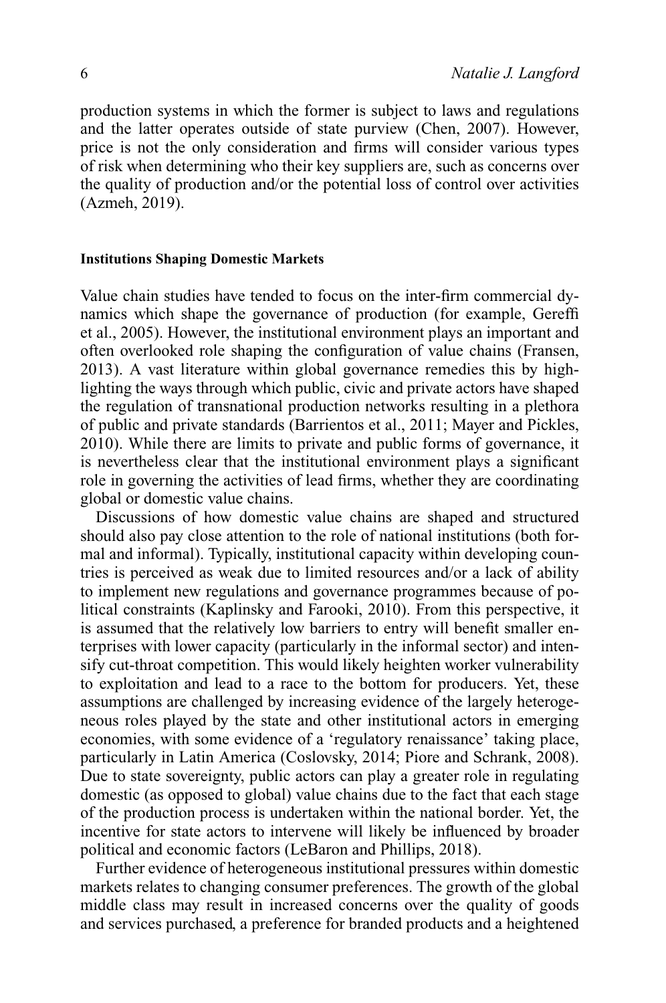production systems in which the former is subject to laws and regulations and the latter operates outside of state purview (Chen, 2007). However, price is not the only consideration and firms will consider various types of risk when determining who their key suppliers are, such as concerns over the quality of production and/or the potential loss of control over activities (Azmeh, 2019).

#### **Institutions Shaping Domestic Markets**

Value chain studies have tended to focus on the inter-firm commercial dynamics which shape the governance of production (for example, Gereffi et al., 2005). However, the institutional environment plays an important and often overlooked role shaping the configuration of value chains (Fransen, 2013). A vast literature within global governance remedies this by highlighting the ways through which public, civic and private actors have shaped the regulation of transnational production networks resulting in a plethora of public and private standards (Barrientos et al., 2011; Mayer and Pickles, 2010). While there are limits to private and public forms of governance, it is nevertheless clear that the institutional environment plays a significant role in governing the activities of lead firms, whether they are coordinating global or domestic value chains.

Discussions of how domestic value chains are shaped and structured should also pay close attention to the role of national institutions (both formal and informal). Typically, institutional capacity within developing countries is perceived as weak due to limited resources and/or a lack of ability to implement new regulations and governance programmes because of political constraints (Kaplinsky and Farooki, 2010). From this perspective, it is assumed that the relatively low barriers to entry will benefit smaller enterprises with lower capacity (particularly in the informal sector) and intensify cut-throat competition. This would likely heighten worker vulnerability to exploitation and lead to a race to the bottom for producers. Yet, these assumptions are challenged by increasing evidence of the largely heterogeneous roles played by the state and other institutional actors in emerging economies, with some evidence of a 'regulatory renaissance' taking place, particularly in Latin America (Coslovsky, 2014; Piore and Schrank, 2008). Due to state sovereignty, public actors can play a greater role in regulating domestic (as opposed to global) value chains due to the fact that each stage of the production process is undertaken within the national border. Yet, the incentive for state actors to intervene will likely be influenced by broader political and economic factors (LeBaron and Phillips, 2018).

Further evidence of heterogeneous institutional pressures within domestic markets relates to changing consumer preferences. The growth of the global middle class may result in increased concerns over the quality of goods and services purchased, a preference for branded products and a heightened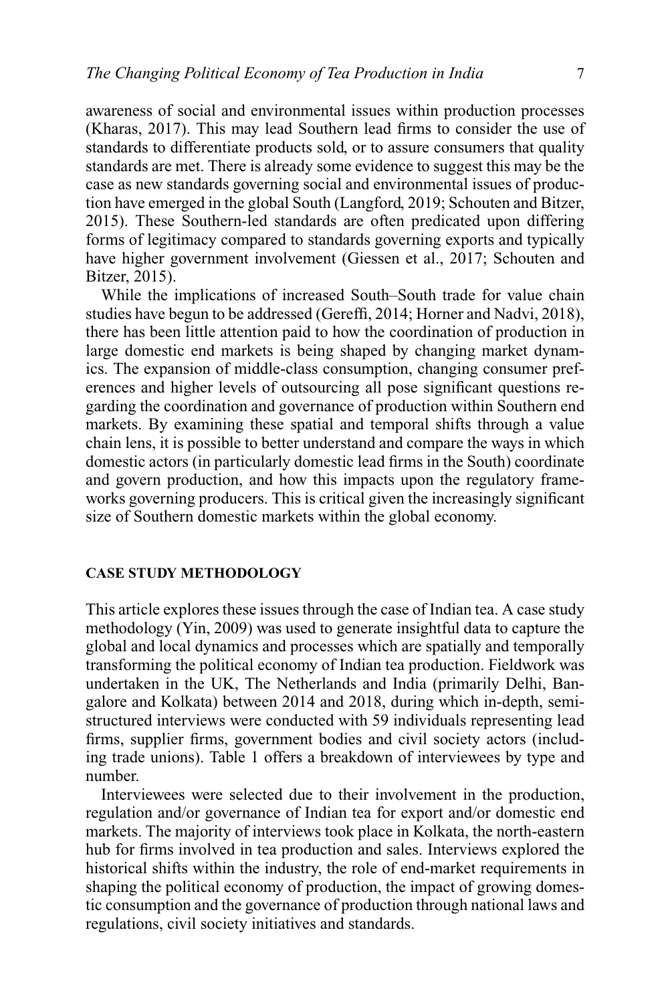awareness of social and environmental issues within production processes (Kharas, 2017). This may lead Southern lead firms to consider the use of standards to differentiate products sold, or to assure consumers that quality standards are met. There is already some evidence to suggest this may be the case as new standards governing social and environmental issues of production have emerged in the global South (Langford, 2019; Schouten and Bitzer, 2015). These Southern-led standards are often predicated upon differing forms of legitimacy compared to standards governing exports and typically have higher government involvement (Giessen et al., 2017; Schouten and Bitzer, 2015).

While the implications of increased South–South trade for value chain studies have begun to be addressed (Gereffi, 2014; Horner and Nadvi, 2018), there has been little attention paid to how the coordination of production in large domestic end markets is being shaped by changing market dynamics. The expansion of middle-class consumption, changing consumer preferences and higher levels of outsourcing all pose significant questions regarding the coordination and governance of production within Southern end markets. By examining these spatial and temporal shifts through a value chain lens, it is possible to better understand and compare the ways in which domestic actors (in particularly domestic lead firms in the South) coordinate and govern production, and how this impacts upon the regulatory frameworks governing producers. This is critical given the increasingly significant size of Southern domestic markets within the global economy.

#### **CASE STUDY METHODOLOGY**

This article explores these issues through the case of Indian tea. A case study methodology (Yin, 2009) was used to generate insightful data to capture the global and local dynamics and processes which are spatially and temporally transforming the political economy of Indian tea production. Fieldwork was undertaken in the UK, The Netherlands and India (primarily Delhi, Bangalore and Kolkata) between 2014 and 2018, during which in-depth, semistructured interviews were conducted with 59 individuals representing lead firms, supplier firms, government bodies and civil society actors (including trade unions). Table 1 offers a breakdown of interviewees by type and number.

Interviewees were selected due to their involvement in the production, regulation and/or governance of Indian tea for export and/or domestic end markets. The majority of interviews took place in Kolkata, the north-eastern hub for firms involved in tea production and sales. Interviews explored the historical shifts within the industry, the role of end-market requirements in shaping the political economy of production, the impact of growing domestic consumption and the governance of production through national laws and regulations, civil society initiatives and standards.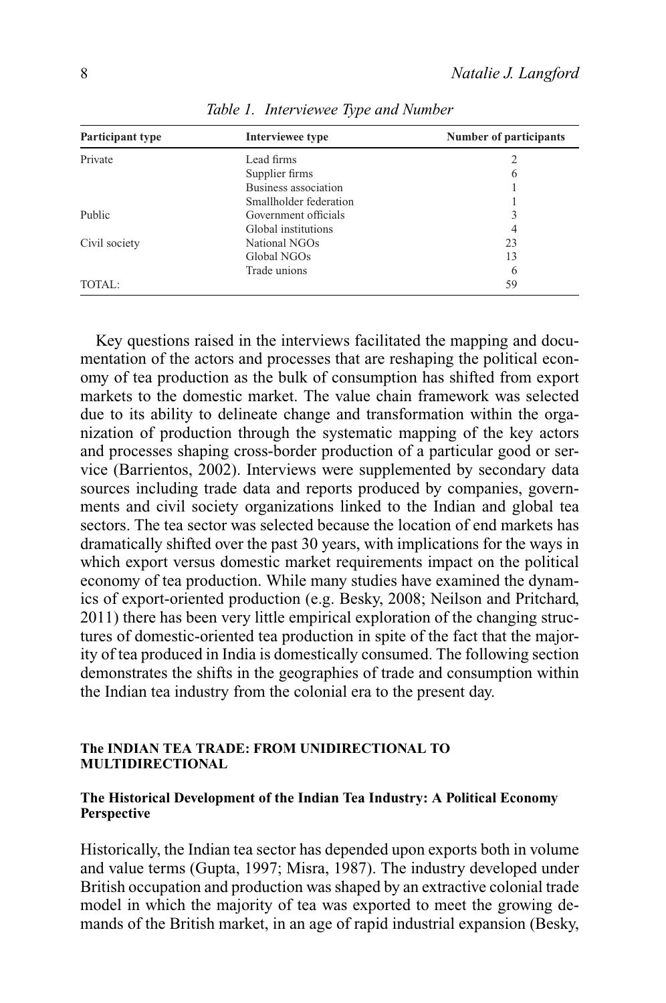| Participant type<br>Interviewee type |                        | Number of participants |  |
|--------------------------------------|------------------------|------------------------|--|
| Private                              | Lead firms             |                        |  |
|                                      | Supplier firms         | $\mathfrak b$          |  |
|                                      | Business association   |                        |  |
|                                      | Smallholder federation |                        |  |
| Public                               | Government officials   |                        |  |
|                                      | Global institutions    | 4                      |  |
| Civil society                        | National NGOs          | 23                     |  |
|                                      | Global NGOs            | 13                     |  |
|                                      | Trade unions           | 6                      |  |
| TOTAL:                               |                        | 59                     |  |

*Table 1. Interviewee Type and Number*

Key questions raised in the interviews facilitated the mapping and documentation of the actors and processes that are reshaping the political economy of tea production as the bulk of consumption has shifted from export markets to the domestic market. The value chain framework was selected due to its ability to delineate change and transformation within the organization of production through the systematic mapping of the key actors and processes shaping cross-border production of a particular good or service (Barrientos, 2002). Interviews were supplemented by secondary data sources including trade data and reports produced by companies, governments and civil society organizations linked to the Indian and global tea sectors. The tea sector was selected because the location of end markets has dramatically shifted over the past 30 years, with implications for the ways in which export versus domestic market requirements impact on the political economy of tea production. While many studies have examined the dynamics of export-oriented production (e.g. Besky, 2008; Neilson and Pritchard, 2011) there has been very little empirical exploration of the changing structures of domestic-oriented tea production in spite of the fact that the majority of tea produced in India is domestically consumed. The following section demonstrates the shifts in the geographies of trade and consumption within the Indian tea industry from the colonial era to the present day.

#### **The INDIAN TEA TRADE: FROM UNIDIRECTIONAL TO MULTIDIRECTIONAL**

#### **The Historical Development of the Indian Tea Industry: A Political Economy Perspective**

Historically, the Indian tea sector has depended upon exports both in volume and value terms (Gupta, 1997; Misra, 1987). The industry developed under British occupation and production was shaped by an extractive colonial trade model in which the majority of tea was exported to meet the growing demands of the British market, in an age of rapid industrial expansion (Besky,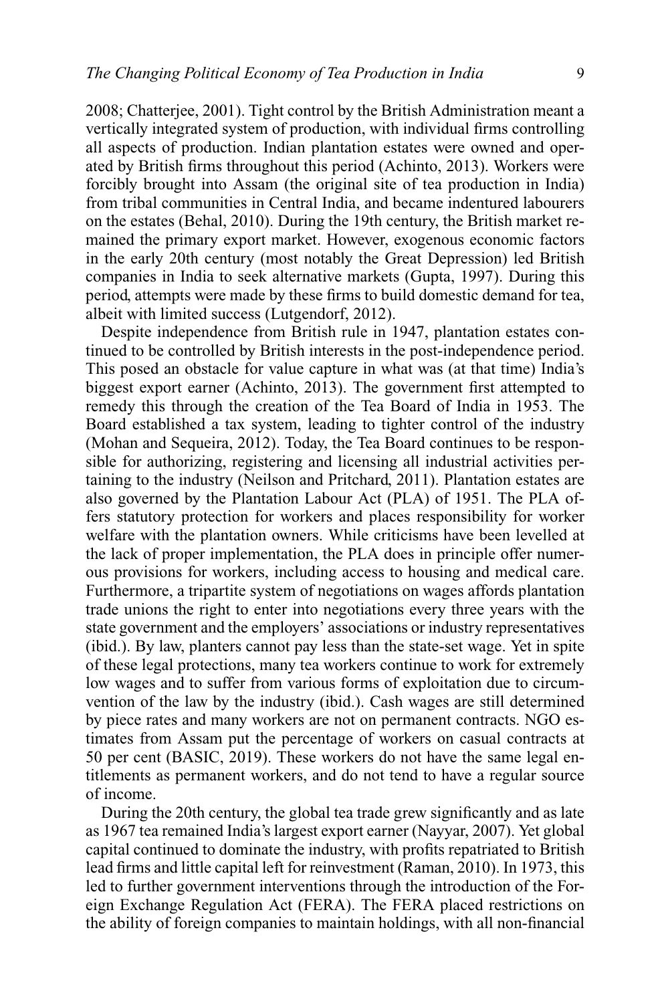2008; Chatterjee, 2001). Tight control by the British Administration meant a vertically integrated system of production, with individual firms controlling all aspects of production. Indian plantation estates were owned and operated by British firms throughout this period (Achinto, 2013). Workers were forcibly brought into Assam (the original site of tea production in India) from tribal communities in Central India, and became indentured labourers on the estates (Behal, 2010). During the 19th century, the British market remained the primary export market. However, exogenous economic factors in the early 20th century (most notably the Great Depression) led British companies in India to seek alternative markets (Gupta, 1997). During this period, attempts were made by these firms to build domestic demand for tea, albeit with limited success (Lutgendorf, 2012).

Despite independence from British rule in 1947, plantation estates continued to be controlled by British interests in the post-independence period. This posed an obstacle for value capture in what was (at that time) India's biggest export earner (Achinto, 2013). The government first attempted to remedy this through the creation of the Tea Board of India in 1953. The Board established a tax system, leading to tighter control of the industry (Mohan and Sequeira, 2012). Today, the Tea Board continues to be responsible for authorizing, registering and licensing all industrial activities pertaining to the industry (Neilson and Pritchard, 2011). Plantation estates are also governed by the Plantation Labour Act (PLA) of 1951. The PLA offers statutory protection for workers and places responsibility for worker welfare with the plantation owners. While criticisms have been levelled at the lack of proper implementation, the PLA does in principle offer numerous provisions for workers, including access to housing and medical care. Furthermore, a tripartite system of negotiations on wages affords plantation trade unions the right to enter into negotiations every three years with the state government and the employers' associations or industry representatives (ibid.). By law, planters cannot pay less than the state-set wage. Yet in spite of these legal protections, many tea workers continue to work for extremely low wages and to suffer from various forms of exploitation due to circumvention of the law by the industry (ibid.). Cash wages are still determined by piece rates and many workers are not on permanent contracts. NGO estimates from Assam put the percentage of workers on casual contracts at 50 per cent (BASIC, 2019). These workers do not have the same legal entitlements as permanent workers, and do not tend to have a regular source of income.

During the 20th century, the global tea trade grew significantly and as late as 1967 tea remained India's largest export earner (Nayyar, 2007). Yet global capital continued to dominate the industry, with profits repatriated to British lead firms and little capital left for reinvestment (Raman, 2010). In 1973, this led to further government interventions through the introduction of the Foreign Exchange Regulation Act (FERA). The FERA placed restrictions on the ability of foreign companies to maintain holdings, with all non-financial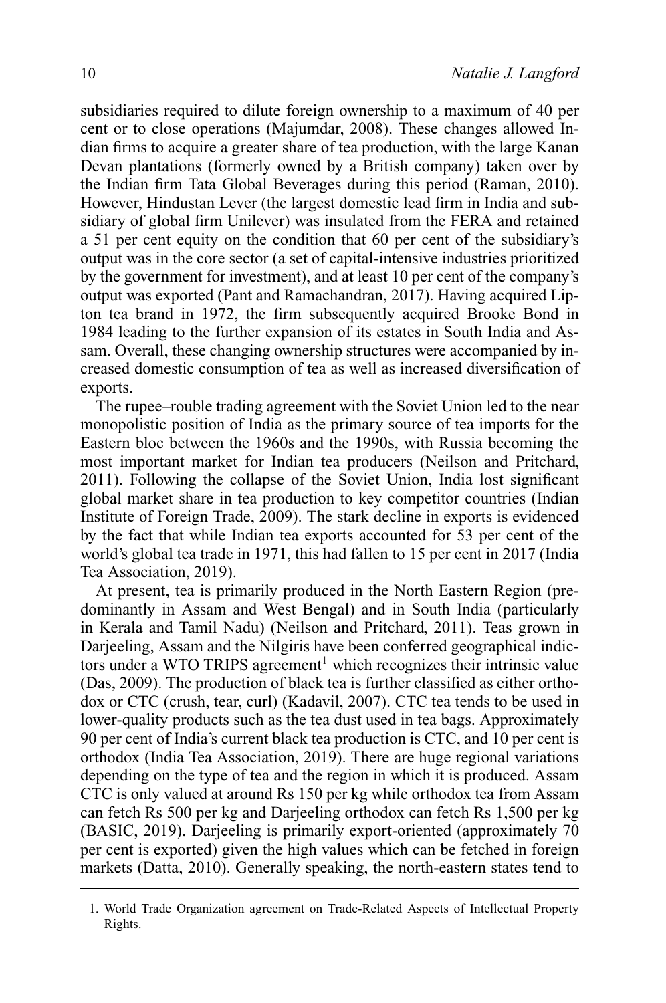subsidiaries required to dilute foreign ownership to a maximum of 40 per cent or to close operations (Majumdar, 2008). These changes allowed Indian firms to acquire a greater share of tea production, with the large Kanan Devan plantations (formerly owned by a British company) taken over by the Indian firm Tata Global Beverages during this period (Raman, 2010). However, Hindustan Lever (the largest domestic lead firm in India and subsidiary of global firm Unilever) was insulated from the FERA and retained a 51 per cent equity on the condition that 60 per cent of the subsidiary's output was in the core sector (a set of capital-intensive industries prioritized by the government for investment), and at least 10 per cent of the company's output was exported (Pant and Ramachandran, 2017). Having acquired Lipton tea brand in 1972, the firm subsequently acquired Brooke Bond in 1984 leading to the further expansion of its estates in South India and Assam. Overall, these changing ownership structures were accompanied by increased domestic consumption of tea as well as increased diversification of exports.

The rupee–rouble trading agreement with the Soviet Union led to the near monopolistic position of India as the primary source of tea imports for the Eastern bloc between the 1960s and the 1990s, with Russia becoming the most important market for Indian tea producers (Neilson and Pritchard, 2011). Following the collapse of the Soviet Union, India lost significant global market share in tea production to key competitor countries (Indian Institute of Foreign Trade, 2009). The stark decline in exports is evidenced by the fact that while Indian tea exports accounted for 53 per cent of the world's global tea trade in 1971, this had fallen to 15 per cent in 2017 (India Tea Association, 2019).

At present, tea is primarily produced in the North Eastern Region (predominantly in Assam and West Bengal) and in South India (particularly in Kerala and Tamil Nadu) (Neilson and Pritchard, 2011). Teas grown in Darjeeling, Assam and the Nilgiris have been conferred geographical indictors under a WTO TRIPS agreement<sup>1</sup> which recognizes their intrinsic value (Das, 2009). The production of black tea is further classified as either orthodox or CTC (crush, tear, curl) (Kadavil, 2007). CTC tea tends to be used in lower-quality products such as the tea dust used in tea bags. Approximately 90 per cent of India's current black tea production is CTC, and 10 per cent is orthodox (India Tea Association, 2019). There are huge regional variations depending on the type of tea and the region in which it is produced. Assam CTC is only valued at around Rs 150 per kg while orthodox tea from Assam can fetch Rs 500 per kg and Darjeeling orthodox can fetch Rs 1,500 per kg (BASIC, 2019). Darjeeling is primarily export-oriented (approximately 70 per cent is exported) given the high values which can be fetched in foreign markets (Datta, 2010). Generally speaking, the north-eastern states tend to

<sup>1.</sup> World Trade Organization agreement on Trade-Related Aspects of Intellectual Property Rights.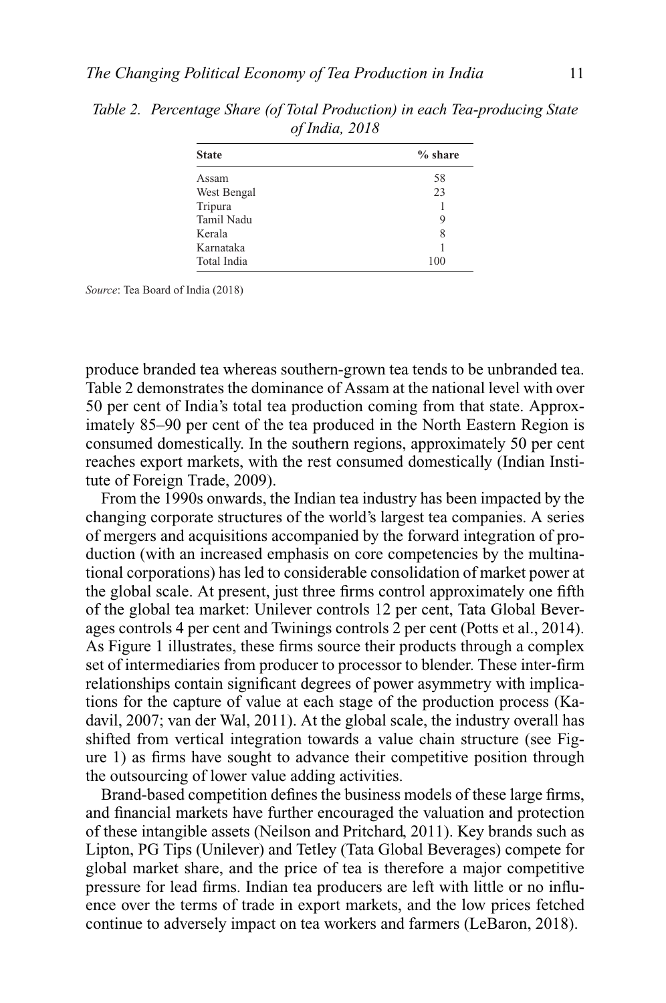| <b>State</b> | $%$ share |
|--------------|-----------|
| Assam        | 58        |
| West Bengal  | 23        |
| Tripura      |           |
| Tamil Nadu   | 9         |
| Kerala       | 8         |
| Karnataka    |           |
| Total India  | 100       |

*Table 2. Percentage Share (of Total Production) in each Tea-producing State of India, 2018*

*Source*: Tea Board of India (2018)

produce branded tea whereas southern-grown tea tends to be unbranded tea. Table 2 demonstrates the dominance of Assam at the national level with over 50 per cent of India's total tea production coming from that state. Approximately 85–90 per cent of the tea produced in the North Eastern Region is consumed domestically. In the southern regions, approximately 50 per cent reaches export markets, with the rest consumed domestically (Indian Institute of Foreign Trade, 2009).

From the 1990s onwards, the Indian tea industry has been impacted by the changing corporate structures of the world's largest tea companies. A series of mergers and acquisitions accompanied by the forward integration of production (with an increased emphasis on core competencies by the multinational corporations) has led to considerable consolidation of market power at the global scale. At present, just three firms control approximately one fifth of the global tea market: Unilever controls 12 per cent, Tata Global Beverages controls 4 per cent and Twinings controls 2 per cent (Potts et al., 2014). As Figure 1 illustrates, these firms source their products through a complex set of intermediaries from producer to processor to blender. These inter-firm relationships contain significant degrees of power asymmetry with implications for the capture of value at each stage of the production process (Kadavil, 2007; van der Wal, 2011). At the global scale, the industry overall has shifted from vertical integration towards a value chain structure (see Figure 1) as firms have sought to advance their competitive position through the outsourcing of lower value adding activities.

Brand-based competition defines the business models of these large firms, and financial markets have further encouraged the valuation and protection of these intangible assets (Neilson and Pritchard, 2011). Key brands such as Lipton, PG Tips (Unilever) and Tetley (Tata Global Beverages) compete for global market share, and the price of tea is therefore a major competitive pressure for lead firms. Indian tea producers are left with little or no influence over the terms of trade in export markets, and the low prices fetched continue to adversely impact on tea workers and farmers (LeBaron, 2018).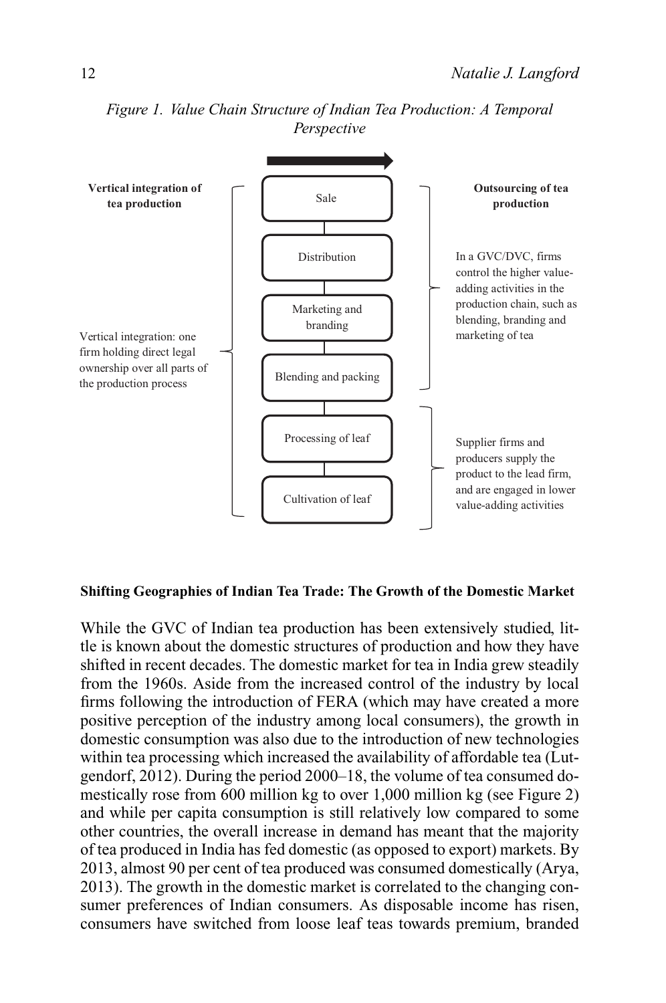

*Figure 1. Value Chain Structure of Indian Tea Production: A Temporal Perspective*

#### **Shifting Geographies of Indian Tea Trade: The Growth of the Domestic Market**

While the GVC of Indian tea production has been extensively studied, little is known about the domestic structures of production and how they have shifted in recent decades. The domestic market for tea in India grew steadily from the 1960s. Aside from the increased control of the industry by local firms following the introduction of FERA (which may have created a more positive perception of the industry among local consumers), the growth in domestic consumption was also due to the introduction of new technologies within tea processing which increased the availability of affordable tea (Lutgendorf, 2012). During the period 2000–18, the volume of tea consumed domestically rose from 600 million kg to over 1,000 million kg (see Figure 2) and while per capita consumption is still relatively low compared to some other countries, the overall increase in demand has meant that the majority of tea produced in India has fed domestic (as opposed to export) markets. By 2013, almost 90 per cent of tea produced was consumed domestically (Arya, 2013). The growth in the domestic market is correlated to the changing consumer preferences of Indian consumers. As disposable income has risen, consumers have switched from loose leaf teas towards premium, branded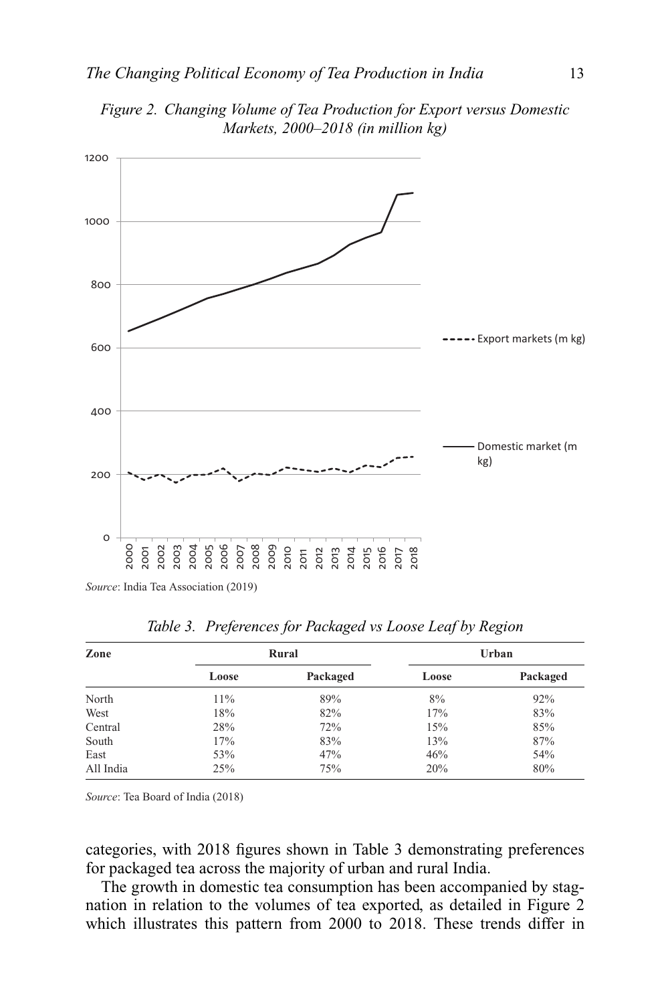

*Figure 2. Changing Volume of Tea Production for Export versus Domestic Markets, 2000–2018 (in million kg)*

*Source*: India Tea Association (2019)

| Zone      |       | Rural    |       | Urban    |  |
|-----------|-------|----------|-------|----------|--|
|           | Loose | Packaged | Loose | Packaged |  |
| North     | 11%   | 89%      | 8%    | 92%      |  |
| West      | 18%   | 82%      | 17%   | 83%      |  |
| Central   | 28%   | 72%      | 15%   | 85%      |  |
| South     | 17%   | 83%      | 13%   | 87%      |  |
| East      | 53%   | 47%      | 46%   | 54%      |  |
| All India | 25%   | 75%      | 20%   | 80%      |  |

*Table 3. Preferences for Packaged vs Loose Leaf by Region*

*Source*: Tea Board of India (2018)

categories, with 2018 figures shown in Table 3 demonstrating preferences for packaged tea across the majority of urban and rural India.

The growth in domestic tea consumption has been accompanied by stagnation in relation to the volumes of tea exported, as detailed in Figure 2 which illustrates this pattern from 2000 to 2018. These trends differ in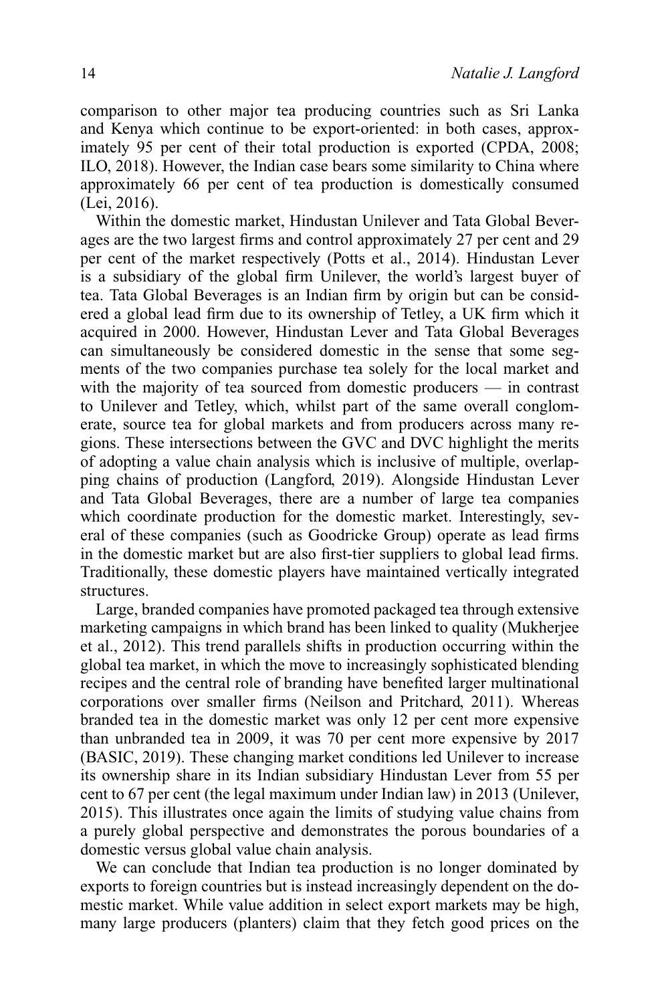comparison to other major tea producing countries such as Sri Lanka and Kenya which continue to be export-oriented: in both cases, approximately 95 per cent of their total production is exported (CPDA, 2008; ILO, 2018). However, the Indian case bears some similarity to China where approximately 66 per cent of tea production is domestically consumed (Lei, 2016).

Within the domestic market, Hindustan Unilever and Tata Global Beverages are the two largest firms and control approximately 27 per cent and 29 per cent of the market respectively (Potts et al., 2014). Hindustan Lever is a subsidiary of the global firm Unilever, the world's largest buyer of tea. Tata Global Beverages is an Indian firm by origin but can be considered a global lead firm due to its ownership of Tetley, a UK firm which it acquired in 2000. However, Hindustan Lever and Tata Global Beverages can simultaneously be considered domestic in the sense that some segments of the two companies purchase tea solely for the local market and with the majority of tea sourced from domestic producers — in contrast to Unilever and Tetley, which, whilst part of the same overall conglomerate, source tea for global markets and from producers across many regions. These intersections between the GVC and DVC highlight the merits of adopting a value chain analysis which is inclusive of multiple, overlapping chains of production (Langford, 2019). Alongside Hindustan Lever and Tata Global Beverages, there are a number of large tea companies which coordinate production for the domestic market. Interestingly, several of these companies (such as Goodricke Group) operate as lead firms in the domestic market but are also first-tier suppliers to global lead firms. Traditionally, these domestic players have maintained vertically integrated structures.

Large, branded companies have promoted packaged tea through extensive marketing campaigns in which brand has been linked to quality (Mukherjee et al., 2012). This trend parallels shifts in production occurring within the global tea market, in which the move to increasingly sophisticated blending recipes and the central role of branding have benefited larger multinational corporations over smaller firms (Neilson and Pritchard, 2011). Whereas branded tea in the domestic market was only 12 per cent more expensive than unbranded tea in 2009, it was 70 per cent more expensive by 2017 (BASIC, 2019). These changing market conditions led Unilever to increase its ownership share in its Indian subsidiary Hindustan Lever from 55 per cent to 67 per cent (the legal maximum under Indian law) in 2013 (Unilever, 2015). This illustrates once again the limits of studying value chains from a purely global perspective and demonstrates the porous boundaries of a domestic versus global value chain analysis.

We can conclude that Indian tea production is no longer dominated by exports to foreign countries but is instead increasingly dependent on the domestic market. While value addition in select export markets may be high, many large producers (planters) claim that they fetch good prices on the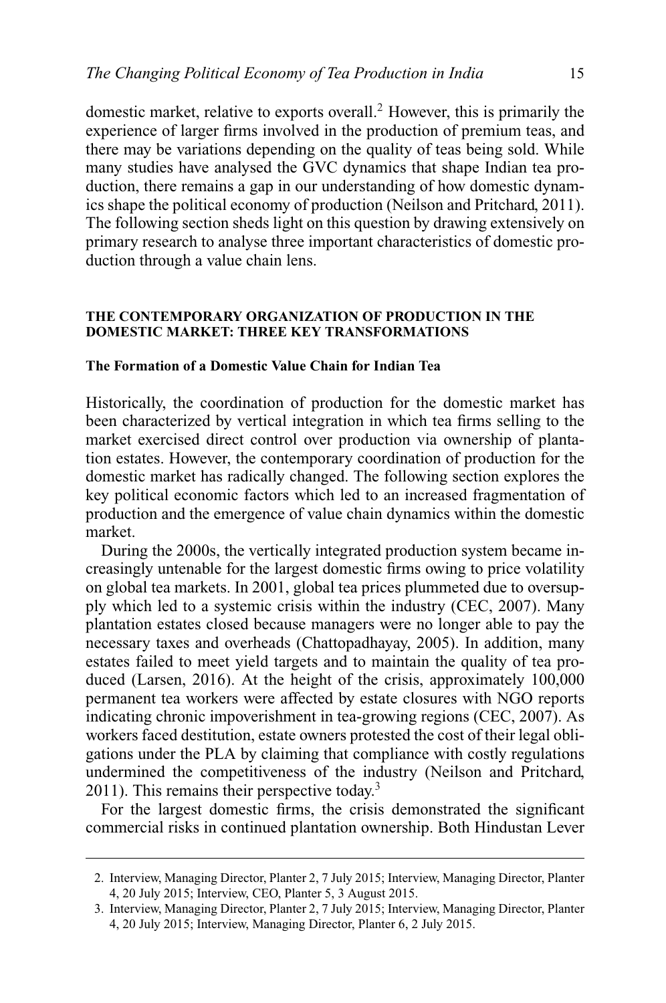domestic market, relative to exports overall.2 However, this is primarily the experience of larger firms involved in the production of premium teas, and there may be variations depending on the quality of teas being sold. While many studies have analysed the GVC dynamics that shape Indian tea production, there remains a gap in our understanding of how domestic dynamics shape the political economy of production (Neilson and Pritchard, 2011). The following section sheds light on this question by drawing extensively on primary research to analyse three important characteristics of domestic production through a value chain lens.

#### **THE CONTEMPORARY ORGANIZATION OF PRODUCTION IN THE DOMESTIC MARKET: THREE KEY TRANSFORMATIONS**

#### **The Formation of a Domestic Value Chain for Indian Tea**

Historically, the coordination of production for the domestic market has been characterized by vertical integration in which tea firms selling to the market exercised direct control over production via ownership of plantation estates. However, the contemporary coordination of production for the domestic market has radically changed. The following section explores the key political economic factors which led to an increased fragmentation of production and the emergence of value chain dynamics within the domestic market.

During the 2000s, the vertically integrated production system became increasingly untenable for the largest domestic firms owing to price volatility on global tea markets. In 2001, global tea prices plummeted due to oversupply which led to a systemic crisis within the industry (CEC, 2007). Many plantation estates closed because managers were no longer able to pay the necessary taxes and overheads (Chattopadhayay, 2005). In addition, many estates failed to meet yield targets and to maintain the quality of tea produced (Larsen, 2016). At the height of the crisis, approximately 100,000 permanent tea workers were affected by estate closures with NGO reports indicating chronic impoverishment in tea-growing regions (CEC, 2007). As workers faced destitution, estate owners protested the cost of their legal obligations under the PLA by claiming that compliance with costly regulations undermined the competitiveness of the industry (Neilson and Pritchard,  $2011$ ). This remains their perspective today.<sup>3</sup>

For the largest domestic firms, the crisis demonstrated the significant commercial risks in continued plantation ownership. Both Hindustan Lever

<sup>2.</sup> Interview, Managing Director, Planter 2, 7 July 2015; Interview, Managing Director, Planter 4, 20 July 2015; Interview, CEO, Planter 5, 3 August 2015.

<sup>3.</sup> Interview, Managing Director, Planter 2, 7 July 2015; Interview, Managing Director, Planter 4, 20 July 2015; Interview, Managing Director, Planter 6, 2 July 2015.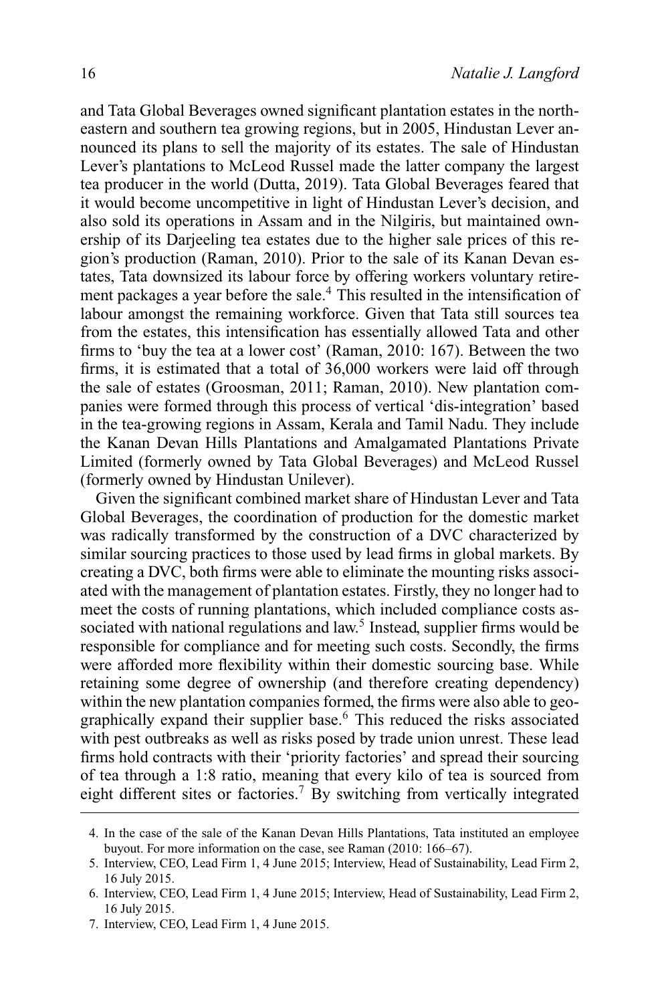and Tata Global Beverages owned significant plantation estates in the northeastern and southern tea growing regions, but in 2005, Hindustan Lever announced its plans to sell the majority of its estates. The sale of Hindustan Lever's plantations to McLeod Russel made the latter company the largest tea producer in the world (Dutta, 2019). Tata Global Beverages feared that it would become uncompetitive in light of Hindustan Lever's decision, and also sold its operations in Assam and in the Nilgiris, but maintained ownership of its Darjeeling tea estates due to the higher sale prices of this region's production (Raman, 2010). Prior to the sale of its Kanan Devan estates, Tata downsized its labour force by offering workers voluntary retirement packages a year before the sale.<sup>4</sup> This resulted in the intensification of labour amongst the remaining workforce. Given that Tata still sources tea from the estates, this intensification has essentially allowed Tata and other firms to 'buy the tea at a lower cost' (Raman, 2010: 167). Between the two firms, it is estimated that a total of 36,000 workers were laid off through the sale of estates (Groosman, 2011; Raman, 2010). New plantation companies were formed through this process of vertical 'dis-integration' based in the tea-growing regions in Assam, Kerala and Tamil Nadu. They include the Kanan Devan Hills Plantations and Amalgamated Plantations Private Limited (formerly owned by Tata Global Beverages) and McLeod Russel (formerly owned by Hindustan Unilever).

Given the significant combined market share of Hindustan Lever and Tata Global Beverages, the coordination of production for the domestic market was radically transformed by the construction of a DVC characterized by similar sourcing practices to those used by lead firms in global markets. By creating a DVC, both firms were able to eliminate the mounting risks associated with the management of plantation estates. Firstly, they no longer had to meet the costs of running plantations, which included compliance costs associated with national regulations and law.<sup>5</sup> Instead, supplier firms would be responsible for compliance and for meeting such costs. Secondly, the firms were afforded more flexibility within their domestic sourcing base. While retaining some degree of ownership (and therefore creating dependency) within the new plantation companies formed, the firms were also able to geographically expand their supplier base.<sup>6</sup> This reduced the risks associated with pest outbreaks as well as risks posed by trade union unrest. These lead firms hold contracts with their 'priority factories' and spread their sourcing of tea through a 1:8 ratio, meaning that every kilo of tea is sourced from eight different sites or factories.<sup>7</sup> By switching from vertically integrated

<sup>4.</sup> In the case of the sale of the Kanan Devan Hills Plantations, Tata instituted an employee buyout. For more information on the case, see Raman (2010: 166–67).

<sup>5.</sup> Interview, CEO, Lead Firm 1, 4 June 2015; Interview, Head of Sustainability, Lead Firm 2, 16 July 2015.

<sup>6.</sup> Interview, CEO, Lead Firm 1, 4 June 2015; Interview, Head of Sustainability, Lead Firm 2, 16 July 2015.

<sup>7.</sup> Interview, CEO, Lead Firm 1, 4 June 2015.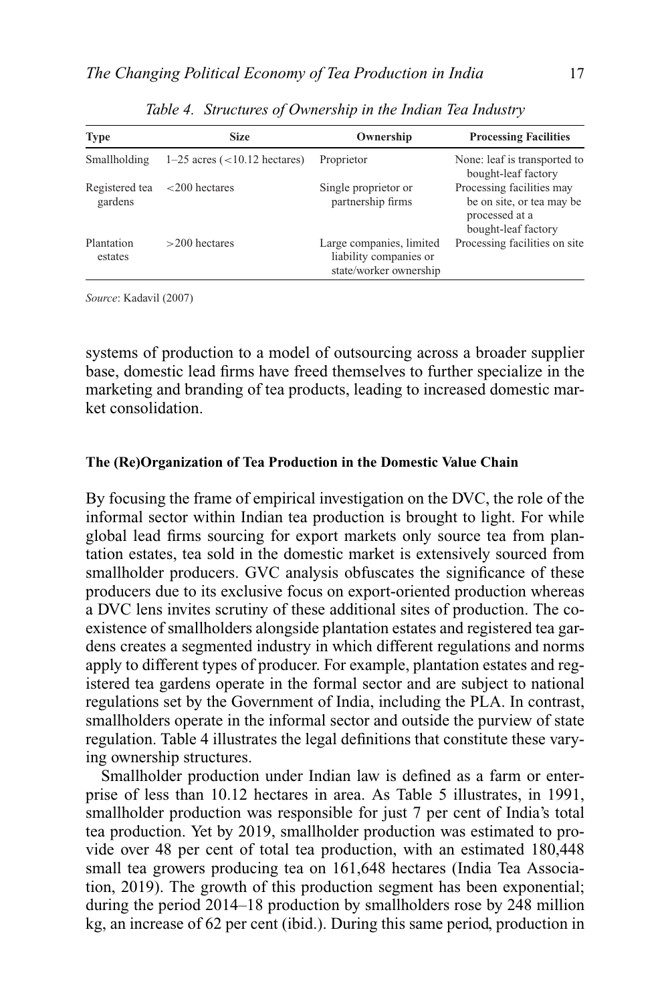| <b>Type</b>               | <b>Size</b>                             | Ownership                                                                    | <b>Processing Facilities</b>                                                                    |
|---------------------------|-----------------------------------------|------------------------------------------------------------------------------|-------------------------------------------------------------------------------------------------|
| Smallholding              | $1-25$ acres $\left($ < 10.12 hectares) | Proprietor                                                                   | None: leaf is transported to<br>bought-leaf factory                                             |
| Registered tea<br>gardens | $<$ 200 hectares                        | Single proprietor or<br>partnership firms                                    | Processing facilities may<br>be on site, or tea may be<br>processed at a<br>bought-leaf factory |
| Plantation<br>estates     | $>200$ hectares                         | Large companies, limited<br>liability companies or<br>state/worker ownership | Processing facilities on site                                                                   |

*Table 4. Structures of Ownership in the Indian Tea Industry*

*Source*: Kadavil (2007)

systems of production to a model of outsourcing across a broader supplier base, domestic lead firms have freed themselves to further specialize in the marketing and branding of tea products, leading to increased domestic market consolidation.

#### **The (Re)Organization of Tea Production in the Domestic Value Chain**

By focusing the frame of empirical investigation on the DVC, the role of the informal sector within Indian tea production is brought to light. For while global lead firms sourcing for export markets only source tea from plantation estates, tea sold in the domestic market is extensively sourced from smallholder producers. GVC analysis obfuscates the significance of these producers due to its exclusive focus on export-oriented production whereas a DVC lens invites scrutiny of these additional sites of production. The coexistence of smallholders alongside plantation estates and registered tea gardens creates a segmented industry in which different regulations and norms apply to different types of producer. For example, plantation estates and registered tea gardens operate in the formal sector and are subject to national regulations set by the Government of India, including the PLA. In contrast, smallholders operate in the informal sector and outside the purview of state regulation. Table 4 illustrates the legal definitions that constitute these varying ownership structures.

Smallholder production under Indian law is defined as a farm or enterprise of less than 10.12 hectares in area. As Table 5 illustrates, in 1991, smallholder production was responsible for just 7 per cent of India's total tea production. Yet by 2019, smallholder production was estimated to provide over 48 per cent of total tea production, with an estimated 180,448 small tea growers producing tea on 161,648 hectares (India Tea Association, 2019). The growth of this production segment has been exponential; during the period 2014–18 production by smallholders rose by 248 million kg, an increase of 62 per cent (ibid.). During this same period, production in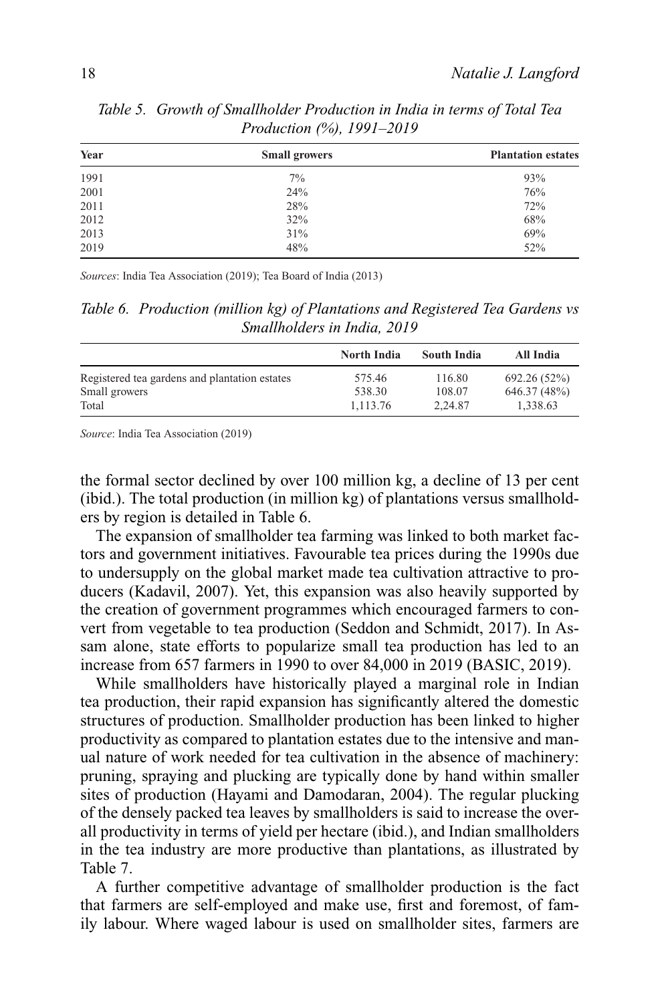| Year | <b>Small growers</b> | <b>Plantation estates</b> |
|------|----------------------|---------------------------|
| 1991 | $7\%$                | 93%                       |
| 2001 | 24%                  | 76%                       |
| 2011 | 28%                  | 72%                       |
| 2012 | 32%                  | 68%                       |
| 2013 | 31%                  | 69%                       |
| 2019 | 48%                  | 52%                       |

*Table 5. Growth of Smallholder Production in India in terms of Total Tea Production (%), 1991–2019*

*Sources*: India Tea Association (2019); Tea Board of India (2013)

*Table 6. Production (million kg) of Plantations and Registered Tea Gardens vs Smallholders in India, 2019*

|                                               | North India | South India | All India    |
|-----------------------------------------------|-------------|-------------|--------------|
| Registered tea gardens and plantation estates | 575.46      | 116.80      | 692.26 (52%) |
| Small growers                                 | 538.30      | 108.07      | 646.37 (48%) |
| Total                                         | 1.113.76    | 2.24.87     | 1.338.63     |

*Source*: India Tea Association (2019)

the formal sector declined by over 100 million kg, a decline of 13 per cent (ibid.). The total production (in million kg) of plantations versus smallholders by region is detailed in Table 6.

The expansion of smallholder tea farming was linked to both market factors and government initiatives. Favourable tea prices during the 1990s due to undersupply on the global market made tea cultivation attractive to producers (Kadavil, 2007). Yet, this expansion was also heavily supported by the creation of government programmes which encouraged farmers to convert from vegetable to tea production (Seddon and Schmidt, 2017). In Assam alone, state efforts to popularize small tea production has led to an increase from 657 farmers in 1990 to over 84,000 in 2019 (BASIC, 2019).

While smallholders have historically played a marginal role in Indian tea production, their rapid expansion has significantly altered the domestic structures of production. Smallholder production has been linked to higher productivity as compared to plantation estates due to the intensive and manual nature of work needed for tea cultivation in the absence of machinery: pruning, spraying and plucking are typically done by hand within smaller sites of production (Hayami and Damodaran, 2004). The regular plucking of the densely packed tea leaves by smallholders is said to increase the overall productivity in terms of yield per hectare (ibid.), and Indian smallholders in the tea industry are more productive than plantations, as illustrated by Table 7.

A further competitive advantage of smallholder production is the fact that farmers are self-employed and make use, first and foremost, of family labour. Where waged labour is used on smallholder sites, farmers are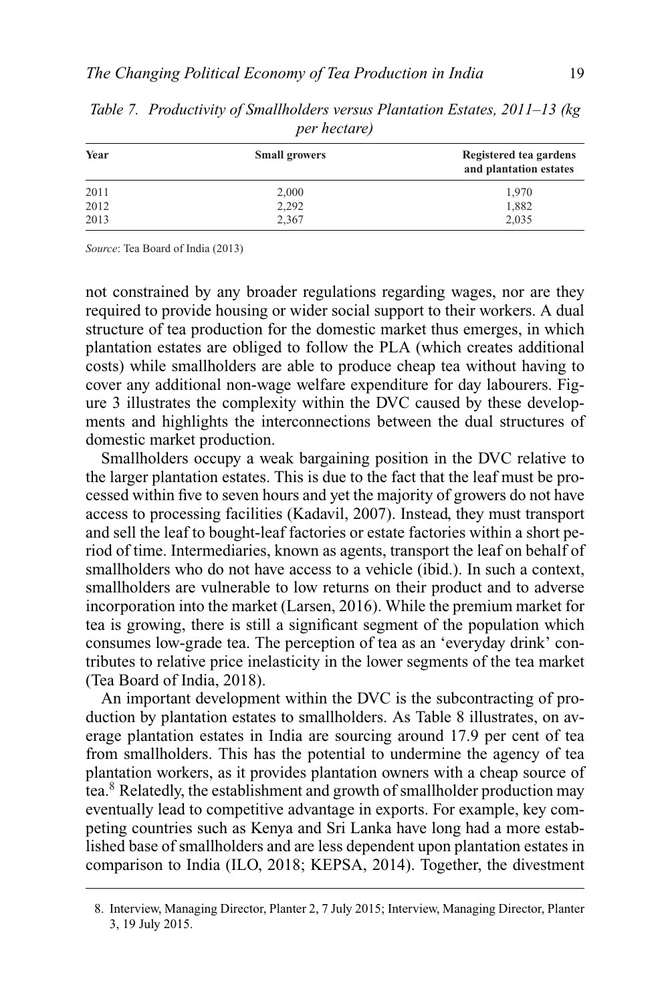| Year | <b>Small growers</b> | Registered tea gardens<br>and plantation estates |
|------|----------------------|--------------------------------------------------|
| 2011 | 2,000                | 1,970                                            |
| 2012 | 2,292                | 1,882                                            |
| 2013 | 2,367                | 2,035                                            |

*Table 7. Productivity of Smallholders versus Plantation Estates, 2011–13 (kg per hectare)*

*Source*: Tea Board of India (2013)

not constrained by any broader regulations regarding wages, nor are they required to provide housing or wider social support to their workers. A dual structure of tea production for the domestic market thus emerges, in which plantation estates are obliged to follow the PLA (which creates additional costs) while smallholders are able to produce cheap tea without having to cover any additional non-wage welfare expenditure for day labourers. Figure 3 illustrates the complexity within the DVC caused by these developments and highlights the interconnections between the dual structures of domestic market production.

Smallholders occupy a weak bargaining position in the DVC relative to the larger plantation estates. This is due to the fact that the leaf must be processed within five to seven hours and yet the majority of growers do not have access to processing facilities (Kadavil, 2007). Instead, they must transport and sell the leaf to bought-leaf factories or estate factories within a short period of time. Intermediaries, known as agents, transport the leaf on behalf of smallholders who do not have access to a vehicle (ibid.). In such a context, smallholders are vulnerable to low returns on their product and to adverse incorporation into the market (Larsen, 2016). While the premium market for tea is growing, there is still a significant segment of the population which consumes low-grade tea. The perception of tea as an 'everyday drink' contributes to relative price inelasticity in the lower segments of the tea market (Tea Board of India, 2018).

An important development within the DVC is the subcontracting of production by plantation estates to smallholders. As Table 8 illustrates, on average plantation estates in India are sourcing around 17.9 per cent of tea from smallholders. This has the potential to undermine the agency of tea plantation workers, as it provides plantation owners with a cheap source of tea.8 Relatedly, the establishment and growth of smallholder production may eventually lead to competitive advantage in exports. For example, key competing countries such as Kenya and Sri Lanka have long had a more established base of smallholders and are less dependent upon plantation estates in comparison to India (ILO, 2018; KEPSA, 2014). Together, the divestment

<sup>8.</sup> Interview, Managing Director, Planter 2, 7 July 2015; Interview, Managing Director, Planter 3, 19 July 2015.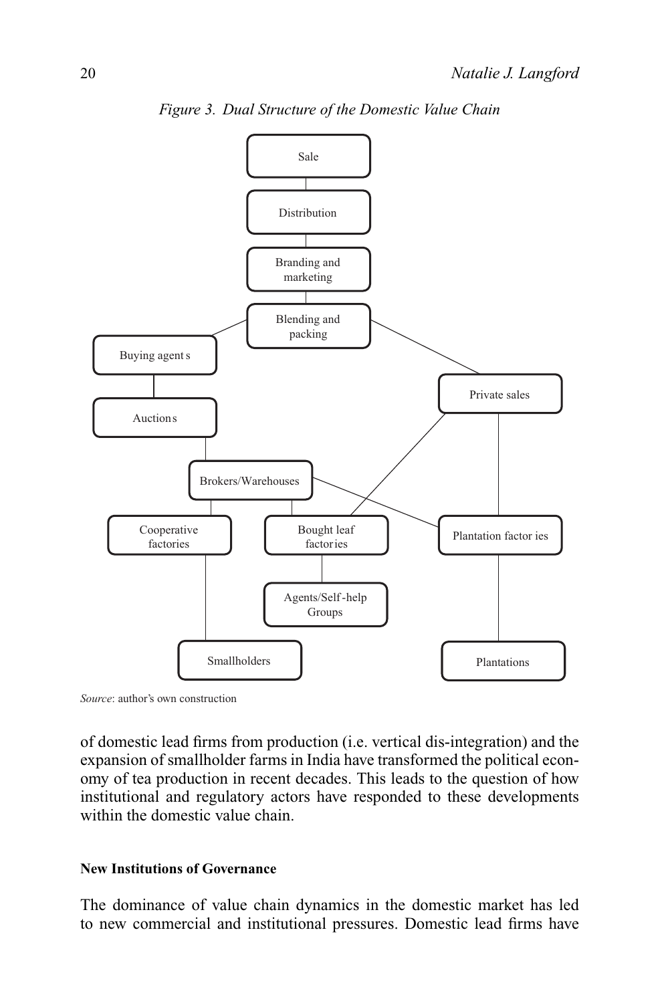

*Figure 3. Dual Structure of the Domestic Value Chain*

*Source*: author's own construction

of domestic lead firms from production (i.e. vertical dis-integration) and the expansion of smallholder farms in India have transformed the political economy of tea production in recent decades. This leads to the question of how institutional and regulatory actors have responded to these developments within the domestic value chain.

#### **New Institutions of Governance**

The dominance of value chain dynamics in the domestic market has led to new commercial and institutional pressures. Domestic lead firms have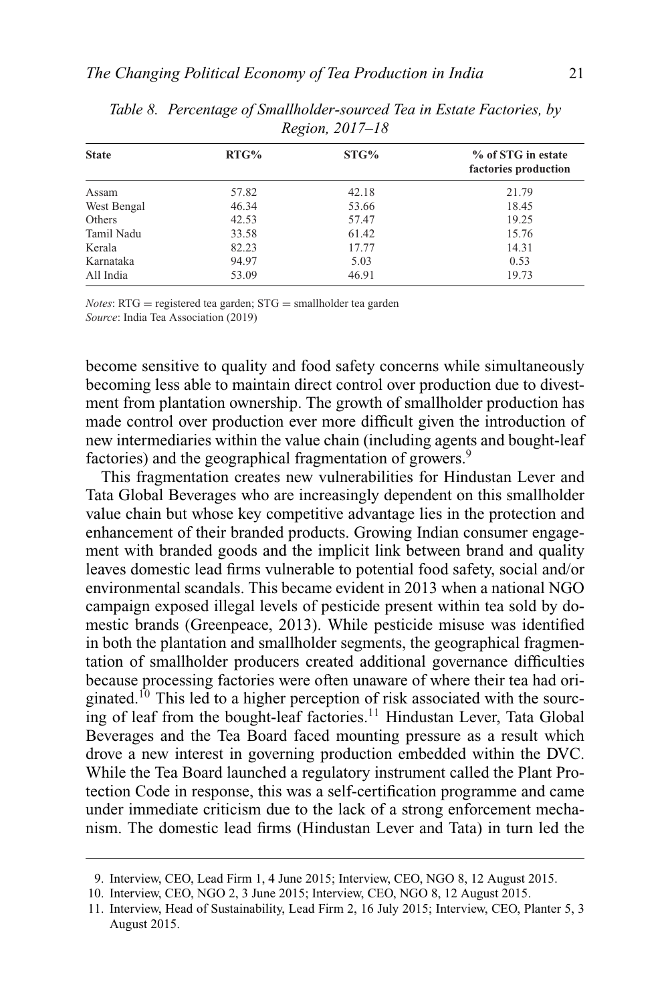| RTG%  | STG%  | % of STG in estate<br>factories production |
|-------|-------|--------------------------------------------|
| 57.82 | 42.18 | 21.79                                      |
| 46.34 | 53.66 | 18.45                                      |
| 42.53 | 57.47 | 19.25                                      |
| 33.58 | 61.42 | 15.76                                      |
| 82.23 | 17.77 | 14.31                                      |
| 94.97 | 5.03  | 0.53                                       |
| 53.09 | 46.91 | 19.73                                      |
|       |       |                                            |

*Table 8. Percentage of Smallholder-sourced Tea in Estate Factories, by Region, 2017–18*

*Notes*: RTG = registered tea garden; STG = smallholder tea garden *Source*: India Tea Association (2019)

become sensitive to quality and food safety concerns while simultaneously becoming less able to maintain direct control over production due to divestment from plantation ownership. The growth of smallholder production has made control over production ever more difficult given the introduction of new intermediaries within the value chain (including agents and bought-leaf factories) and the geographical fragmentation of growers.<sup>9</sup>

This fragmentation creates new vulnerabilities for Hindustan Lever and Tata Global Beverages who are increasingly dependent on this smallholder value chain but whose key competitive advantage lies in the protection and enhancement of their branded products. Growing Indian consumer engagement with branded goods and the implicit link between brand and quality leaves domestic lead firms vulnerable to potential food safety, social and/or environmental scandals. This became evident in 2013 when a national NGO campaign exposed illegal levels of pesticide present within tea sold by domestic brands (Greenpeace, 2013). While pesticide misuse was identified in both the plantation and smallholder segments, the geographical fragmentation of smallholder producers created additional governance difficulties because processing factories were often unaware of where their tea had originated.10 This led to a higher perception of risk associated with the sourcing of leaf from the bought-leaf factories.<sup>11</sup> Hindustan Lever, Tata Global Beverages and the Tea Board faced mounting pressure as a result which drove a new interest in governing production embedded within the DVC. While the Tea Board launched a regulatory instrument called the Plant Protection Code in response, this was a self-certification programme and came under immediate criticism due to the lack of a strong enforcement mechanism. The domestic lead firms (Hindustan Lever and Tata) in turn led the

<sup>9.</sup> Interview, CEO, Lead Firm 1, 4 June 2015; Interview, CEO, NGO 8, 12 August 2015.

<sup>10.</sup> Interview, CEO, NGO 2, 3 June 2015; Interview, CEO, NGO 8, 12 August 2015.

<sup>11.</sup> Interview, Head of Sustainability, Lead Firm 2, 16 July 2015; Interview, CEO, Planter 5, 3 August 2015.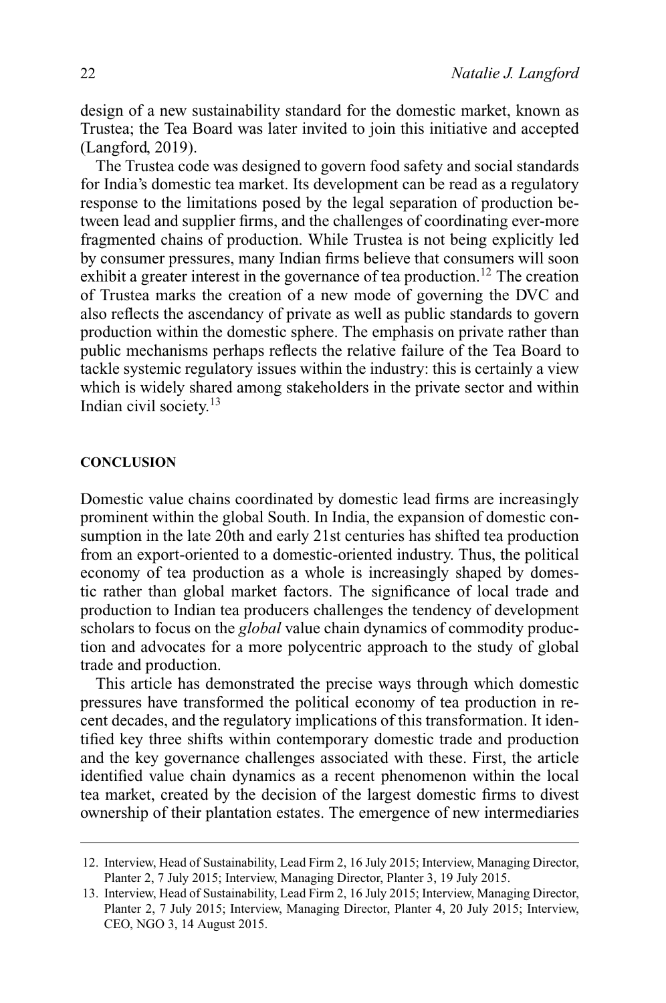design of a new sustainability standard for the domestic market, known as Trustea; the Tea Board was later invited to join this initiative and accepted (Langford, 2019).

The Trustea code was designed to govern food safety and social standards for India's domestic tea market. Its development can be read as a regulatory response to the limitations posed by the legal separation of production between lead and supplier firms, and the challenges of coordinating ever-more fragmented chains of production. While Trustea is not being explicitly led by consumer pressures, many Indian firms believe that consumers will soon exhibit a greater interest in the governance of tea production.<sup>12</sup> The creation of Trustea marks the creation of a new mode of governing the DVC and also reflects the ascendancy of private as well as public standards to govern production within the domestic sphere. The emphasis on private rather than public mechanisms perhaps reflects the relative failure of the Tea Board to tackle systemic regulatory issues within the industry: this is certainly a view which is widely shared among stakeholders in the private sector and within Indian civil society.<sup>13</sup>

#### **CONCLUSION**

Domestic value chains coordinated by domestic lead firms are increasingly prominent within the global South. In India, the expansion of domestic consumption in the late 20th and early 21st centuries has shifted tea production from an export-oriented to a domestic-oriented industry. Thus, the political economy of tea production as a whole is increasingly shaped by domestic rather than global market factors. The significance of local trade and production to Indian tea producers challenges the tendency of development scholars to focus on the *global* value chain dynamics of commodity production and advocates for a more polycentric approach to the study of global trade and production.

This article has demonstrated the precise ways through which domestic pressures have transformed the political economy of tea production in recent decades, and the regulatory implications of this transformation. It identified key three shifts within contemporary domestic trade and production and the key governance challenges associated with these. First, the article identified value chain dynamics as a recent phenomenon within the local tea market, created by the decision of the largest domestic firms to divest ownership of their plantation estates. The emergence of new intermediaries

<sup>12.</sup> Interview, Head of Sustainability, Lead Firm 2, 16 July 2015; Interview, Managing Director, Planter 2, 7 July 2015; Interview, Managing Director, Planter 3, 19 July 2015.

<sup>13.</sup> Interview, Head of Sustainability, Lead Firm 2, 16 July 2015; Interview, Managing Director, Planter 2, 7 July 2015; Interview, Managing Director, Planter 4, 20 July 2015; Interview, CEO, NGO 3, 14 August 2015.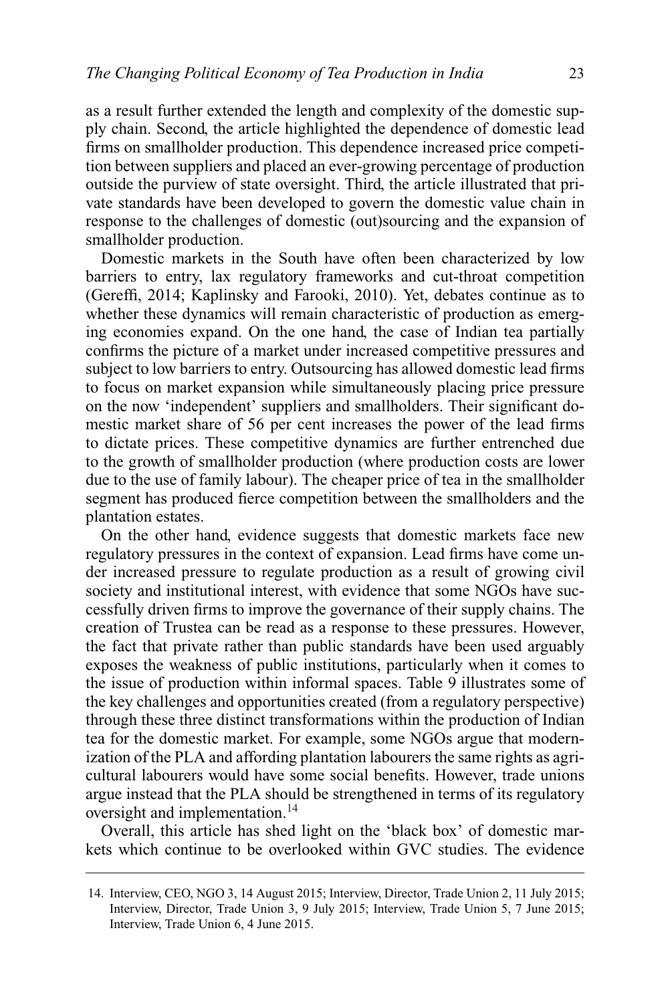as a result further extended the length and complexity of the domestic supply chain. Second, the article highlighted the dependence of domestic lead firms on smallholder production. This dependence increased price competition between suppliers and placed an ever-growing percentage of production outside the purview of state oversight. Third, the article illustrated that private standards have been developed to govern the domestic value chain in response to the challenges of domestic (out)sourcing and the expansion of smallholder production.

Domestic markets in the South have often been characterized by low barriers to entry, lax regulatory frameworks and cut-throat competition (Gereffi, 2014; Kaplinsky and Farooki, 2010). Yet, debates continue as to whether these dynamics will remain characteristic of production as emerging economies expand. On the one hand, the case of Indian tea partially confirms the picture of a market under increased competitive pressures and subject to low barriers to entry. Outsourcing has allowed domestic lead firms to focus on market expansion while simultaneously placing price pressure on the now 'independent' suppliers and smallholders. Their significant domestic market share of 56 per cent increases the power of the lead firms to dictate prices. These competitive dynamics are further entrenched due to the growth of smallholder production (where production costs are lower due to the use of family labour). The cheaper price of tea in the smallholder segment has produced fierce competition between the smallholders and the plantation estates.

On the other hand, evidence suggests that domestic markets face new regulatory pressures in the context of expansion. Lead firms have come under increased pressure to regulate production as a result of growing civil society and institutional interest, with evidence that some NGOs have successfully driven firms to improve the governance of their supply chains. The creation of Trustea can be read as a response to these pressures. However, the fact that private rather than public standards have been used arguably exposes the weakness of public institutions, particularly when it comes to the issue of production within informal spaces. Table 9 illustrates some of the key challenges and opportunities created (from a regulatory perspective) through these three distinct transformations within the production of Indian tea for the domestic market. For example, some NGOs argue that modernization of the PLA and affording plantation labourers the same rights as agricultural labourers would have some social benefits. However, trade unions argue instead that the PLA should be strengthened in terms of its regulatory oversight and implementation.<sup>14</sup>

Overall, this article has shed light on the 'black box' of domestic markets which continue to be overlooked within GVC studies. The evidence

<sup>14.</sup> Interview, CEO, NGO 3, 14 August 2015; Interview, Director, Trade Union 2, 11 July 2015; Interview, Director, Trade Union 3, 9 July 2015; Interview, Trade Union 5, 7 June 2015; Interview, Trade Union 6, 4 June 2015.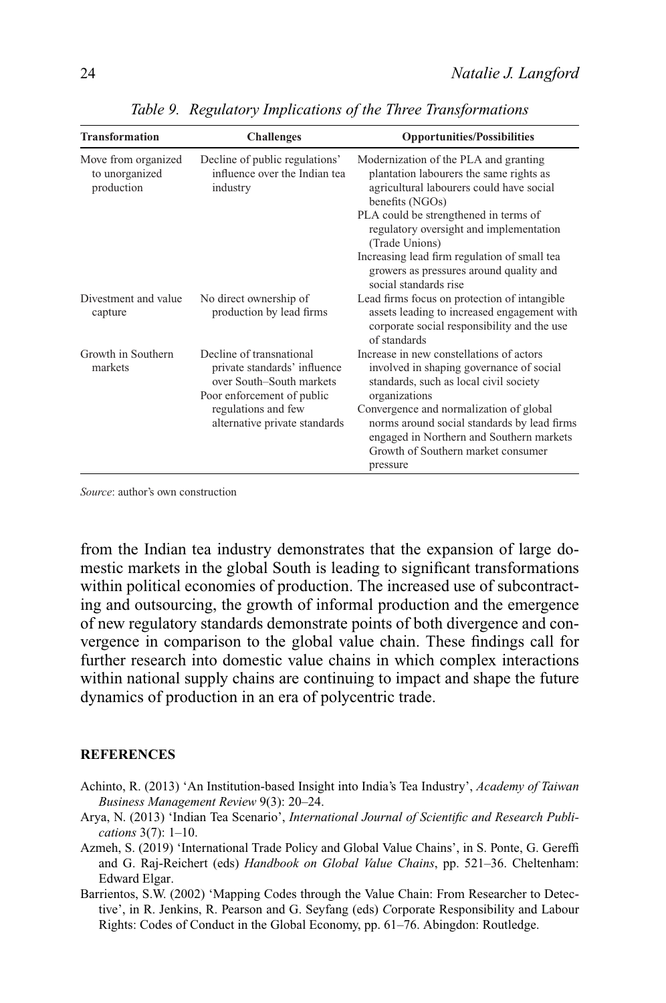| <b>Transformation</b>                               | <b>Challenges</b>                                                                                                  | <b>Opportunities/Possibilities</b>                                                                                                                                                   |
|-----------------------------------------------------|--------------------------------------------------------------------------------------------------------------------|--------------------------------------------------------------------------------------------------------------------------------------------------------------------------------------|
| Move from organized<br>to unorganized<br>production | Decline of public regulations'<br>influence over the Indian tea<br>industry                                        | Modernization of the PLA and granting<br>plantation labourers the same rights as<br>agricultural labourers could have social<br>benefits (NGOs)                                      |
|                                                     |                                                                                                                    | PLA could be strengthened in terms of<br>regulatory oversight and implementation<br>(Trade Unions)                                                                                   |
|                                                     |                                                                                                                    | Increasing lead firm regulation of small tea<br>growers as pressures around quality and<br>social standards rise                                                                     |
| Divestment and value<br>capture                     | No direct ownership of<br>production by lead firms                                                                 | Lead firms focus on protection of intangible<br>assets leading to increased engagement with<br>corporate social responsibility and the use<br>of standards                           |
| Growth in Southern<br>markets                       | Decline of transnational<br>private standards' influence<br>over South-South markets<br>Poor enforcement of public | Increase in new constellations of actors<br>involved in shaping governance of social<br>standards, such as local civil society<br>organizations                                      |
|                                                     | regulations and few<br>alternative private standards                                                               | Convergence and normalization of global<br>norms around social standards by lead firms<br>engaged in Northern and Southern markets<br>Growth of Southern market consumer<br>pressure |

*Table 9. Regulatory Implications of the Three Transformations*

*Source*: author's own construction

from the Indian tea industry demonstrates that the expansion of large domestic markets in the global South is leading to significant transformations within political economies of production. The increased use of subcontracting and outsourcing, the growth of informal production and the emergence of new regulatory standards demonstrate points of both divergence and convergence in comparison to the global value chain. These findings call for further research into domestic value chains in which complex interactions within national supply chains are continuing to impact and shape the future dynamics of production in an era of polycentric trade.

#### **REFERENCES**

- Achinto, R. (2013) 'An Institution-based Insight into India's Tea Industry', *Academy of Taiwan Business Management Review* 9(3): 20–24.
- Arya, N. (2013) 'Indian Tea Scenario', *International Journal of Scientific and Research Publications* 3(7): 1–10.
- Azmeh, S. (2019) 'International Trade Policy and Global Value Chains', in S. Ponte, G. Gereffi and G. Raj-Reichert (eds) *Handbook on Global Value Chains*, pp. 521–36. Cheltenham: Edward Elgar.
- Barrientos, S.W. (2002) 'Mapping Codes through the Value Chain: From Researcher to Detective', in R. Jenkins, R. Pearson and G. Seyfang (eds) *C*orporate Responsibility and Labour Rights: Codes of Conduct in the Global Economy, pp. 61–76. Abingdon: Routledge.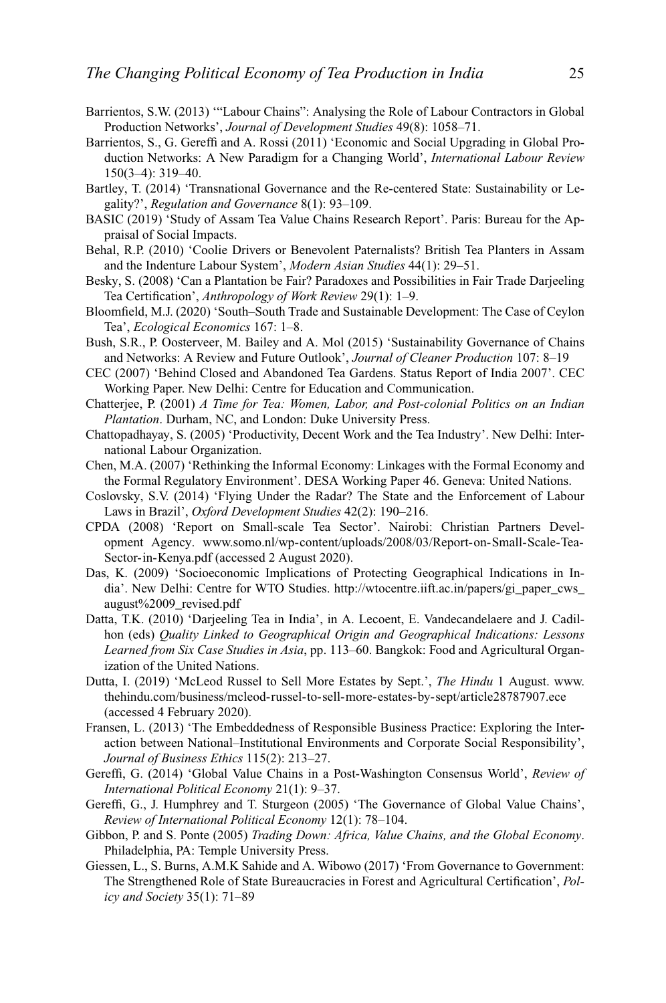- Barrientos, S.W. (2013) '"Labour Chains": Analysing the Role of Labour Contractors in Global Production Networks', *Journal of Development Studies* 49(8): 1058–71.
- Barrientos, S., G. Gereffi and A. Rossi (2011) 'Economic and Social Upgrading in Global Production Networks: A New Paradigm for a Changing World', *International Labour Review* 150(3–4): 319–40.
- Bartley, T. (2014) 'Transnational Governance and the Re-centered State: Sustainability or Legality?', *Regulation and Governance* 8(1): 93–109.
- BASIC (2019) 'Study of Assam Tea Value Chains Research Report'. Paris: Bureau for the Appraisal of Social Impacts.
- Behal, R.P. (2010) 'Coolie Drivers or Benevolent Paternalists? British Tea Planters in Assam and the Indenture Labour System', *Modern Asian Studies* 44(1): 29–51.
- Besky, S. (2008) 'Can a Plantation be Fair? Paradoxes and Possibilities in Fair Trade Darjeeling Tea Certification', *Anthropology of Work Review* 29(1): 1–9.
- Bloomfield, M.J. (2020) 'South–South Trade and Sustainable Development: The Case of Ceylon Tea', *Ecological Economics* 167: 1–8.
- Bush, S.R., P. Oosterveer, M. Bailey and A. Mol (2015) 'Sustainability Governance of Chains and Networks: A Review and Future Outlook', *Journal of Cleaner Production* 107: 8–19
- CEC (2007) 'Behind Closed and Abandoned Tea Gardens. Status Report of India 2007'. CEC Working Paper. New Delhi: Centre for Education and Communication.
- Chatterjee, P. (2001) *A Time for Tea: Women, Labor, and Post-colonial Politics on an Indian Plantation*. Durham, NC, and London: Duke University Press.
- Chattopadhayay, S. (2005) 'Productivity, Decent Work and the Tea Industry'. New Delhi: International Labour Organization.
- Chen, M.A. (2007) 'Rethinking the Informal Economy: Linkages with the Formal Economy and the Formal Regulatory Environment'. DESA Working Paper 46. Geneva: United Nations.
- Coslovsky, S.V. (2014) 'Flying Under the Radar? The State and the Enforcement of Labour Laws in Brazil', *Oxford Development Studies* 42(2): 190–216.
- CPDA (2008) 'Report on Small-scale Tea Sector'. Nairobi: Christian Partners Development Agency. [www.somo.nl/wp-content/uploads/2008/03/Report-on-Small-Scale-Tea-](http://www.somo.nl/wp-content/uploads/2008/03/Report-on-Small-Scale-Tea-Sector-in-Kenya.pdf)[Sector-in-Kenya.pdf](http://www.somo.nl/wp-content/uploads/2008/03/Report-on-Small-Scale-Tea-Sector-in-Kenya.pdf) (accessed 2 August 2020).
- Das, K. (2009) 'Socioeconomic Implications of Protecting Geographical Indications in India'. New Delhi: Centre for WTO Studies. [http://wtocentre.iift.ac.in/papers/gi\\_paper\\_cws\\_](http://wtocentre.iift.ac.in/papers/gi_paper_cws_august%2009_revised.pdf) [august%2009\\_revised.pdf](http://wtocentre.iift.ac.in/papers/gi_paper_cws_august%2009_revised.pdf)
- Datta, T.K. (2010) 'Darjeeling Tea in India', in A. Lecoent, E. Vandecandelaere and J. Cadilhon (eds) *Quality Linked to Geographical Origin and Geographical Indications: Lessons Learned from Six Case Studies in Asia*, pp. 113–60. Bangkok: Food and Agricultural Organization of the United Nations.
- Dutta, I. (2019) 'McLeod Russel to Sell More Estates by Sept.', *The Hindu* 1 August. [www.](http://www.thehindu.com/business/mcleod-russel-to-sell-more-estates-by-sept/article28787907.ece) [thehindu.com/business/mcleod-russel-to-sell-more-estates-by-sept/article28787907.ece](http://www.thehindu.com/business/mcleod-russel-to-sell-more-estates-by-sept/article28787907.ece) (accessed 4 February 2020).
- Fransen, L. (2013) 'The Embeddedness of Responsible Business Practice: Exploring the Interaction between National–Institutional Environments and Corporate Social Responsibility', *Journal of Business Ethics* 115(2): 213–27.
- Gereffi, G. (2014) 'Global Value Chains in a Post-Washington Consensus World', *Review of International Political Economy* 21(1): 9–37.
- Gereffi, G., J. Humphrey and T. Sturgeon (2005) 'The Governance of Global Value Chains', *Review of International Political Economy* 12(1): 78–104.
- Gibbon, P. and S. Ponte (2005) *Trading Down: Africa, Value Chains, and the Global Economy*. Philadelphia, PA: Temple University Press.
- Giessen, L., S. Burns, A.M.K Sahide and A. Wibowo (2017) 'From Governance to Government: The Strengthened Role of State Bureaucracies in Forest and Agricultural Certification', *Policy and Society* 35(1): 71–89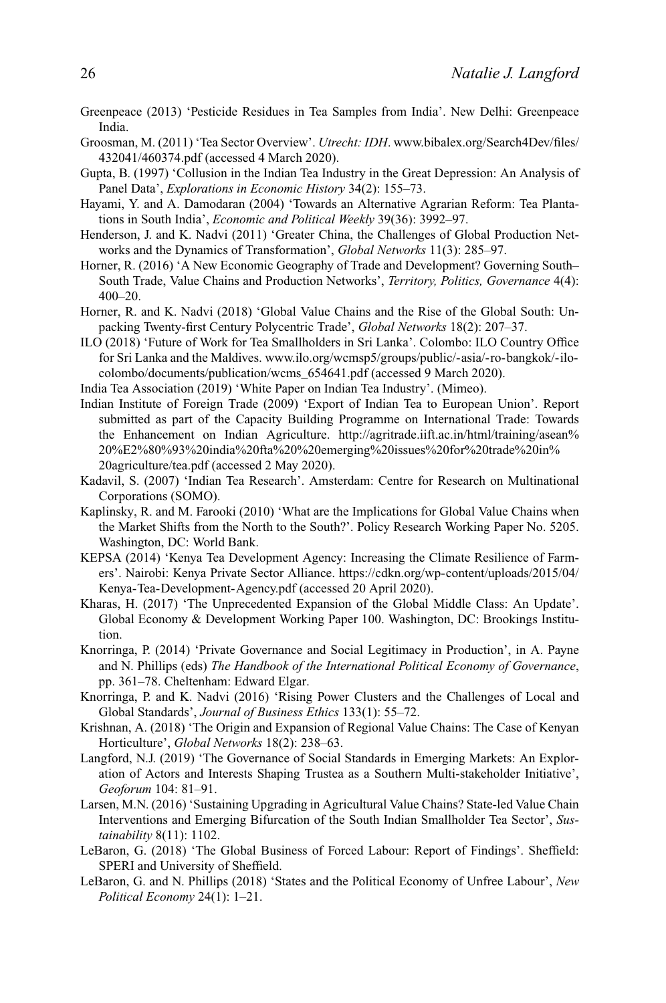- Greenpeace (2013) 'Pesticide Residues in Tea Samples from India'. New Delhi: Greenpeace India.
- Groosman, M. (2011) 'Tea Sector Overview'. *Utrecht: IDH*. [www.bibalex.org/Search4Dev/files/](http://www.bibalex.org/Search4Dev/files/432041/460374.pdf) [432041/460374.pdf](http://www.bibalex.org/Search4Dev/files/432041/460374.pdf) (accessed 4 March 2020).
- Gupta, B. (1997) 'Collusion in the Indian Tea Industry in the Great Depression: An Analysis of Panel Data', *Explorations in Economic History* 34(2): 155–73.
- Hayami, Y. and A. Damodaran (2004) 'Towards an Alternative Agrarian Reform: Tea Plantations in South India', *Economic and Political Weekly* 39(36): 3992–97.
- Henderson, J. and K. Nadvi (2011) 'Greater China, the Challenges of Global Production Networks and the Dynamics of Transformation', *Global Networks* 11(3): 285–97.
- Horner, R. (2016) 'A New Economic Geography of Trade and Development? Governing South– South Trade, Value Chains and Production Networks', *Territory, Politics, Governance* 4(4): 400–20.
- Horner, R. and K. Nadvi (2018) 'Global Value Chains and the Rise of the Global South: Unpacking Twenty-first Century Polycentric Trade', *Global Networks* 18(2): 207–37.
- ILO (2018) 'Future of Work for Tea Smallholders in Sri Lanka'. Colombo: ILO Country Office for Sri Lanka and the Maldives. [www.ilo.org/wcmsp5/groups/public/-asia/-ro-bangkok/-ilo](https://www.ilo.org/wcmsp5/groups/public/-asia/-ro-bangkok/-ilo-colombo/documents/publication/wcms_654641.pdf)[colombo/documents/publication/wcms\\_654641.pdf](https://www.ilo.org/wcmsp5/groups/public/-asia/-ro-bangkok/-ilo-colombo/documents/publication/wcms_654641.pdf) (accessed 9 March 2020).
- India Tea Association (2019) 'White Paper on Indian Tea Industry'. (Mimeo).
- Indian Institute of Foreign Trade (2009) 'Export of Indian Tea to European Union'. Report submitted as part of the Capacity Building Programme on International Trade: Towards the Enhancement on Indian Agriculture. [http://agritrade.iift.ac.in/html/training/asean%](http://agritrade.iift.ac.in/html/training/asean%20%E2%80%93%20india%20fta%20%20emerging%20issues%20for%20trade%20in%20agriculture/tea.pdf) [20%E2%80%93%20india%20fta%20%20emerging%20issues%20for%20trade%20in%](http://agritrade.iift.ac.in/html/training/asean%20%E2%80%93%20india%20fta%20%20emerging%20issues%20for%20trade%20in%20agriculture/tea.pdf) [20agriculture/tea.pdf](http://agritrade.iift.ac.in/html/training/asean%20%E2%80%93%20india%20fta%20%20emerging%20issues%20for%20trade%20in%20agriculture/tea.pdf) (accessed 2 May 2020).
- Kadavil, S. (2007) 'Indian Tea Research'. Amsterdam: Centre for Research on Multinational Corporations (SOMO).
- Kaplinsky, R. and M. Farooki (2010) 'What are the Implications for Global Value Chains when the Market Shifts from the North to the South?'. Policy Research Working Paper No. 5205. Washington, DC: World Bank.
- KEPSA (2014) 'Kenya Tea Development Agency: Increasing the Climate Resilience of Farmers'. Nairobi: Kenya Private Sector Alliance. [https://cdkn.org/wp-content/uploads/2015/04/](https://cdkn.org/wp-content/uploads/2015/04/Kenya-Tea-Development-Agency.pdf) [Kenya-Tea-Development-Agency.pdf](https://cdkn.org/wp-content/uploads/2015/04/Kenya-Tea-Development-Agency.pdf) (accessed 20 April 2020).
- Kharas, H. (2017) 'The Unprecedented Expansion of the Global Middle Class: An Update'. Global Economy & Development Working Paper 100. Washington, DC: Brookings Institution.
- Knorringa, P. (2014) 'Private Governance and Social Legitimacy in Production', in A. Payne and N. Phillips (eds) *The Handbook of the International Political Economy of Governance*, pp. 361–78. Cheltenham: Edward Elgar.
- Knorringa, P. and K. Nadvi (2016) 'Rising Power Clusters and the Challenges of Local and Global Standards', *Journal of Business Ethics* 133(1): 55–72.
- Krishnan, A. (2018) 'The Origin and Expansion of Regional Value Chains: The Case of Kenyan Horticulture', *Global Networks* 18(2): 238–63.
- Langford, N.J. (2019) 'The Governance of Social Standards in Emerging Markets: An Exploration of Actors and Interests Shaping Trustea as a Southern Multi-stakeholder Initiative', *Geoforum* 104: 81–91.
- Larsen, M.N. (2016) 'Sustaining Upgrading in Agricultural Value Chains? State-led Value Chain Interventions and Emerging Bifurcation of the South Indian Smallholder Tea Sector', *Sustainability* 8(11): 1102.
- LeBaron, G. (2018) 'The Global Business of Forced Labour: Report of Findings'. Sheffield: SPERI and University of Sheffield.
- LeBaron, G. and N. Phillips (2018) 'States and the Political Economy of Unfree Labour', *New Political Economy* 24(1): 1–21.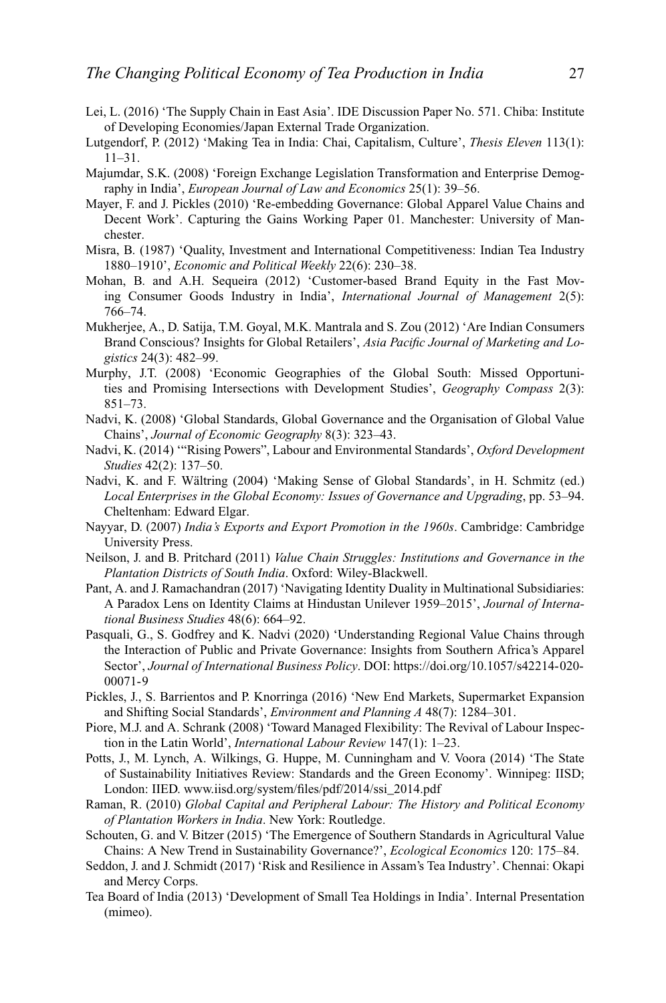- Lei, L. (2016) 'The Supply Chain in East Asia'. IDE Discussion Paper No. 571. Chiba: Institute of Developing Economies/Japan External Trade Organization.
- Lutgendorf, P. (2012) 'Making Tea in India: Chai, Capitalism, Culture', *Thesis Eleven* 113(1): 11–31.
- Majumdar, S.K. (2008) 'Foreign Exchange Legislation Transformation and Enterprise Demography in India', *European Journal of Law and Economics* 25(1): 39–56.
- Mayer, F. and J. Pickles (2010) 'Re-embedding Governance: Global Apparel Value Chains and Decent Work'. Capturing the Gains Working Paper 01. Manchester: University of Manchester.
- Misra, B. (1987) 'Quality, Investment and International Competitiveness: Indian Tea Industry 1880–1910', *Economic and Political Weekly* 22(6): 230–38.
- Mohan, B. and A.H. Sequeira (2012) 'Customer-based Brand Equity in the Fast Moving Consumer Goods Industry in India', *International Journal of Management* 2(5): 766–74.
- Mukherjee, A., D. Satija, T.M. Goyal, M.K. Mantrala and S. Zou (2012) 'Are Indian Consumers Brand Conscious? Insights for Global Retailers', *Asia Pacific Journal of Marketing and Logistics* 24(3): 482–99.
- Murphy, J.T. (2008) 'Economic Geographies of the Global South: Missed Opportunities and Promising Intersections with Development Studies', *Geography Compass* 2(3): 851–73.
- Nadvi, K. (2008) 'Global Standards, Global Governance and the Organisation of Global Value Chains', *Journal of Economic Geography* 8(3): 323–43.
- Nadvi, K. (2014) '"Rising Powers", Labour and Environmental Standards', *Oxford Development Studies* 42(2): 137–50.
- Nadvi, K. and F. Wältring (2004) 'Making Sense of Global Standards', in H. Schmitz (ed.) *Local Enterprises in the Global Economy: Issues of Governance and Upgrading*, pp. 53–94. Cheltenham: Edward Elgar.
- Nayyar, D. (2007) *India's Exports and Export Promotion in the 1960s*. Cambridge: Cambridge University Press.
- Neilson, J. and B. Pritchard (2011) *Value Chain Struggles: Institutions and Governance in the Plantation Districts of South India*. Oxford: Wiley-Blackwell.
- Pant, A. and J. Ramachandran (2017) 'Navigating Identity Duality in Multinational Subsidiaries: A Paradox Lens on Identity Claims at Hindustan Unilever 1959–2015', *Journal of International Business Studies* 48(6): 664–92.
- Pasquali, G., S. Godfrey and K. Nadvi (2020) 'Understanding Regional Value Chains through the Interaction of Public and Private Governance: Insights from Southern Africa's Apparel Sector', *Journal of International Business Policy*. DOI: [https://doi.org/10.1057/s42214-020-](https://doi.org/10.1057/s42214-020-00071-9) [00071-9](https://doi.org/10.1057/s42214-020-00071-9)
- Pickles, J., S. Barrientos and P. Knorringa (2016) 'New End Markets, Supermarket Expansion and Shifting Social Standards', *Environment and Planning A* 48(7): 1284–301.
- Piore, M.J. and A. Schrank (2008) 'Toward Managed Flexibility: The Revival of Labour Inspection in the Latin World', *International Labour Review* 147(1): 1–23.
- Potts, J., M. Lynch, A. Wilkings, G. Huppe, M. Cunningham and V. Voora (2014) 'The State of Sustainability Initiatives Review: Standards and the Green Economy'. Winnipeg: IISD; London: IIED. [www.iisd.org/system/files/pdf/2014/ssi\\_2014.pdf](http://www.iisd.org/system/files/pdf/2014/ssi_2014.pdf)
- Raman, R. (2010) *Global Capital and Peripheral Labour: The History and Political Economy of Plantation Workers in India*. New York: Routledge.
- Schouten, G. and V. Bitzer (2015) 'The Emergence of Southern Standards in Agricultural Value Chains: A New Trend in Sustainability Governance?', *Ecological Economics* 120: 175–84.
- Seddon, J. and J. Schmidt (2017) 'Risk and Resilience in Assam's Tea Industry'. Chennai: Okapi and Mercy Corps.
- Tea Board of India (2013) 'Development of Small Tea Holdings in India'. Internal Presentation (mimeo).